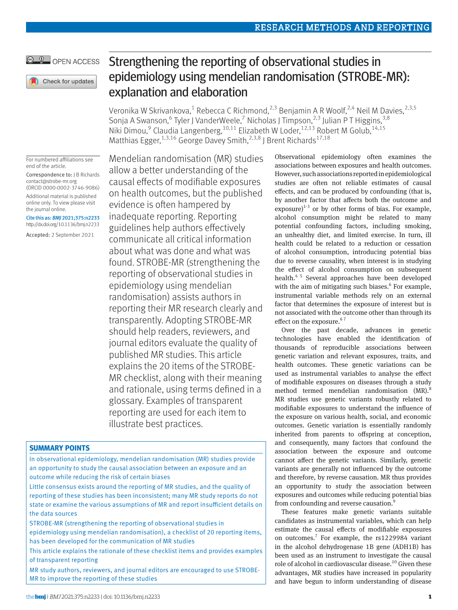## © <sup>0</sup> OPEN ACCESS

Check for updates

#### For numbered affiliations see end of the article.

Correspondence to: J B Richards [contact@strobe-mr.org](mailto:contact@strobe-mr.org) (ORCID [0000-0002-3746-9086](https://orcid.org/0000-0002-3746-9086))

Additional material is published online only. To view please visit the journal online.

Cite this as: *BMJ* 2021;375:n2233 http://dx.doi.org/10.1136/bmj.n2233

Accepted: 2 September 2021

Mendelian randomisation (MR) studies allow a better understanding of the causal effects of modifiable exposures on health outcomes, but the published evidence is often hampered by inadequate reporting. Reporting guidelines help authors effectively communicate all critical information about what was done and what was found. STROBE-MR (strengthening the reporting of observational studies in epidemiology using mendelian randomisation) assists authors in reporting their MR research clearly and transparently. Adopting STROBE-MR should help readers, reviewers, and journal editors evaluate the quality of published MR studies. This article explains the 20 items of the STROBE-MR checklist, along with their meaning and rationale, using terms defined in a glossary. Examples of transparent reporting are used for each item to illustrate best practices.

## **SUMMARY POINTS**

In observational epidemiology, mendelian randomisation (MR) studies provide an opportunity to study the causal association between an exposure and an outcome while reducing the risk of certain biases

Little consensus exists around the reporting of MR studies, and the quality of reporting of these studies has been inconsistent; many MR study reports do not state or examine the various assumptions of MR and report insufficient details on the data sources

STROBE-MR (strengthening the reporting of observational studies in epidemiology using mendelian randomisation), a checklist of 20 reporting items, has been developed for the communication of MR studies

This article explains the rationale of these checklist items and provides examples of transparent reporting

MR study authors, reviewers, and journal editors are encouraged to use STROBE-MR to improve the reporting of these studies

# Strengthening the reporting of observational studies in epidemiology using mendelian randomisation (STROBE-MR): explanation and elaboration

Veronika W Skrivankova,<sup>1</sup> Rebecca C Richmond,<sup>2,3</sup> Benjamin A R Woolf,<sup>2,4</sup> Neil M Davies,<sup>2,3,5</sup> Sonja A Swanson,<sup>6</sup> Tyler J VanderWeele,<sup>7</sup> Nicholas J Timpson,<sup>2,3</sup> Julian P T Higgins,<sup>3,8</sup> Niki Dimou,<sup>9</sup> Claudia Langenberg, <sup>10,11</sup> Elizabeth W Loder, <sup>12,13</sup> Robert M Golub, <sup>14,15</sup> Matthias Egger,<sup>1,3,16</sup> George Davey Smith,<sup>2,3,8</sup> J Brent Richards<sup>17,18</sup>

> Observational epidemiology often examines the associations between exposures and health outcomes. However, such associations reported in epidemiological studies are often not reliable estimates of causal effects, and can be produced by confounding (that is, by another factor that affects both the outcome and exposure) $1-3$  or by other forms of bias. For example, alcohol consumption might be related to many potential confounding factors, including smoking, an unhealthy diet, and limited exercise. In turn, ill health could be related to a reduction or cessation of alcohol consumption, introducing potential bias due to reverse causality, when interest is in studying the effect of alcohol consumption on subsequent health.<sup>45</sup> Several approaches have been developed with the aim of mitigating such biases.<sup>6</sup> For example, instrumental variable methods rely on an external factor that determines the exposure of interest but is not associated with the outcome other than through its effect on the exposure.<sup>67</sup>

> Over the past decade, advances in genetic technologies have enabled the identification of thousands of reproducible associations between genetic variation and relevant exposures, traits, and health outcomes. These genetic variations can be used as instrumental variables to analyse the effect of modifiable exposures on diseases through a study method termed mendelian randomisation (MR).<sup>8</sup> MR studies use genetic variants robustly related to modifiable exposures to understand the influence of the exposure on various health, social, and economic outcomes. Genetic variation is essentially randomly inherited from parents to offspring at conception, and consequently, many factors that confound the association between the exposure and outcome cannot affect the genetic variants. Similarly, genetic variants are generally not influenced by the outcome and therefore, by reverse causation. MR thus provides an opportunity to study the association between exposures and outcomes while reducing potential bias from confounding and reverse causation.<sup>9</sup>

> These features make genetic variants suitable candidates as instrumental variables, which can help estimate the causal effects of modifiable exposures on outcomes.<sup>7</sup> For example, the rs1229984 variant in the alcohol dehydrogenase 1B gene (ADH1B) has been used as an instrument to investigate the causal role of alcohol in cardiovascular disease.<sup>10</sup> Given these advantages, MR studies have increased in popularity and have begun to inform understanding of disease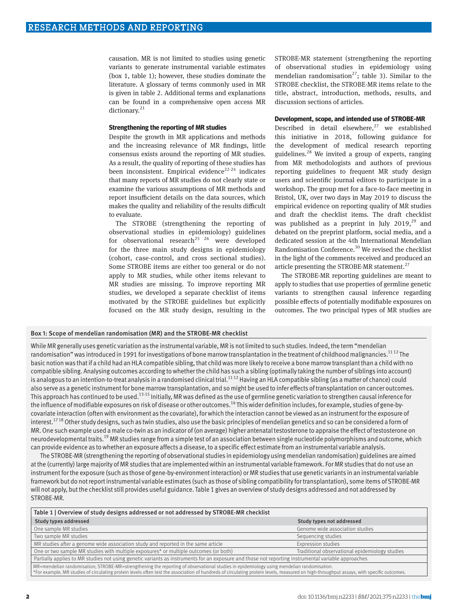causation. MR is not limited to studies using genetic variants to generate instrumental variable estimates (box 1, table 1); however, these studies dominate the literature. A glossary of terms commonly used in MR is given in table 2. Additional terms and explanations can be found in a comprehensive open access MR dictionary.<sup>21</sup>

## **Strengthening the reporting of MR studies**

Despite the growth in MR applications and methods and the increasing relevance of MR findings, little consensus exists around the reporting of MR studies. As a result, the quality of reporting of these studies has been inconsistent. Empirical evidence<sup>22-24</sup> indicates that many reports of MR studies do not clearly state or examine the various assumptions of MR methods and report insufficient details on the data sources, which makes the quality and reliability of the results difficult to evaluate.

The STROBE (strengthening the reporting of observational studies in epidemiology) guidelines for observational research<sup>25 26</sup> were developed for the three main study designs in epidemiology (cohort, case-control, and cross sectional studies). Some STROBE items are either too general or do not apply to MR studies, while other items relevant to MR studies are missing. To improve reporting MR studies, we developed a separate checklist of items motivated by the STROBE guidelines but explicitly focused on the MR study design, resulting in the

STROBE-MR statement (strengthening the reporting of observational studies in epidemiology using mendelian randomisation<sup>27</sup>; table 3). Similar to the STROBE checklist, the STROBE-MR items relate to the title, abstract, introduction, methods, results, and discussion sections of articles.

## **Development, scope, and intended use of STROBE-MR**

Described in detail elsewhere, $27$  we established this initiative in 2018, following guidance for the development of medical research reporting guidelines. $28$  We invited a group of experts, ranging from MR methodologists and authors of previous reporting guidelines to frequent MR study design users and scientific journal editors to participate in a workshop. The group met for a face-to-face meeting in Bristol, UK, over two days in May 2019 to discuss the empirical evidence on reporting quality of MR studies and draft the checklist items. The draft checklist was published as a preprint in July 2019, $^{29}$  and debated on the preprint platform, social media, and a dedicated session at the 4th International Mendelian Randomisation Conference.<sup>30</sup> We revised the checklist in the light of the comments received and produced an article presenting the STROBE-MR statement.<sup>27</sup>

The STROBE-MR reporting guidelines are meant to apply to studies that use properties of germline genetic variants to strengthen causal inference regarding possible effects of potentially modifiable exposures on outcomes. The two principal types of MR studies are

## Box 1: Scope of mendelian randomisation (MR) and the STROBE-MR checklist

While MR generally uses genetic variation as the instrumental variable, MR is not limited to such studies. Indeed, the term "mendelian randomisation" was introduced in 1991 for investigations of bone marrow transplantation in the treatment of childhood malignancies.<sup>1112</sup> The basic notion was that if a child had an HLA compatible sibling, that child was more likely to receive a bone marrow transplant than a child with no compatible sibling. Analysing outcomes according to whether the child has such a sibling (optimally taking the number of siblings into account) is analogous to an intention-to-treat analysis in a randomised clinical trial.<sup>1112</sup> Having an HLA compatible sibling (as a matter of chance) could also serve as a genetic instrument for bone marrow transplantation, and so might be used to infer effects of transplantation on cancer outcomes. This approach has continued to be used.<sup>13-15</sup> Initially, MR was defined as the use of germline genetic variation to strengthen causal inference for the influence of modifiable exposures on risk of disease or other outcomes.<sup>16</sup> This wider definition includes, for example, studies of gene-bycovariate interaction (often with environment as the covariate), for which the interaction cannot be viewed as an instrument for the exposure of interest.<sup>1718</sup> Other study designs, such as twin studies, also use the basic principles of mendelian genetics and so can be considered a form of MR. One such example used a male co-twin as an indicator of (on average) higher antenatal testosterone to appraise the effect of testosterone on neurodevelopmental traits.<sup>19</sup> MR studies range from a simple test of an association between single nucleotide polymorphisms and outcome, which can provide evidence as to whether an exposure affects a disease, to a specific effect estimate from an instrumental variable analysis.

The STROBE-MR (strengthening the reporting of observational studies in epidemiology using mendelian randomisation) guidelines are aimed at the (currently) large majority of MR studies that are implemented within an instrumental variable framework. For MR studies that do not use an instrument for the exposure (such as those of gene-by-environment interaction) or MR studies that use genetic variants in an instrumental variable framework but do not report instrumental variable estimates (such as those of sibling compatibility for transplantation), some items of STROBE-MR will not apply, but the checklist still provides useful guidance. Table 1 gives an overview of study designs addressed and not addressed by STROBE-MR.

| Table 1   Overview of study designs addressed or not addressed by STROBE-MR checklist                                                                                                    |                                                |
|------------------------------------------------------------------------------------------------------------------------------------------------------------------------------------------|------------------------------------------------|
| Study types addressed                                                                                                                                                                    | Study types not addressed                      |
| One sample MR studies                                                                                                                                                                    | Genome wide association studies                |
| Two sample MR studies                                                                                                                                                                    | Sequencing studies                             |
| MR studies after a genome wide association study and reported in the same article                                                                                                        | Expression studies                             |
| One or two sample MR studies with multiple exposures* or multiple outcomes (or both)                                                                                                     | Traditional observational epidemiology studies |
| Partially applies to MR studies not using genetic variants as instruments for an exposure and those not reporting instrumental variable approaches                                       |                                                |
| MR=mendelian randomisation; STROBE-MR=strengthening the reporting of observational studies in epidemiology using mendelian randomisation.                                                |                                                |
| *For example, MR studies of circulating protein levels often test the association of hundreds of circulating protein levels, measured on high-throughput assays, with specific outcomes. |                                                |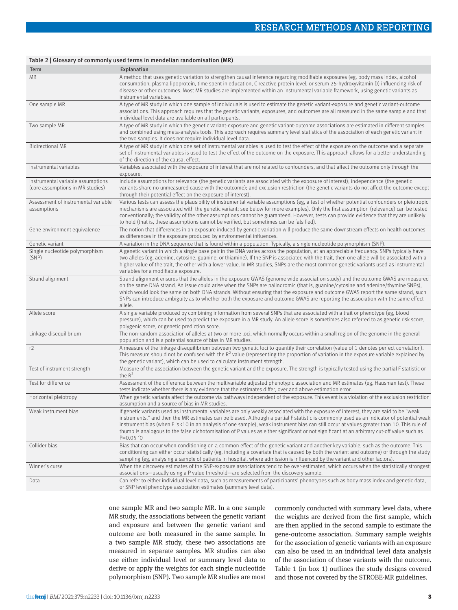|                                                                       | Table 2   Glossary of commonly used terms in mendelian randomisation (MR)                                                                                                                                                                                                                                                                                                                                                                                                                                                                                                                      |
|-----------------------------------------------------------------------|------------------------------------------------------------------------------------------------------------------------------------------------------------------------------------------------------------------------------------------------------------------------------------------------------------------------------------------------------------------------------------------------------------------------------------------------------------------------------------------------------------------------------------------------------------------------------------------------|
| Term                                                                  | Explanation                                                                                                                                                                                                                                                                                                                                                                                                                                                                                                                                                                                    |
| <b>MR</b>                                                             | A method that uses genetic variation to strengthen causal inference regarding modifiable exposures (eg, body mass index, alcohol<br>consumption, plasma lipoprotein, time spent in education, C reactive protein level, or serum 25-hydroxyvitamin D) influencing risk of<br>disease or other outcomes. Most MR studies are implemented within an instrumental variable framework, using genetic variants as<br>instrumental variables.                                                                                                                                                        |
| One sample MR                                                         | A type of MR study in which one sample of individuals is used to estimate the genetic variant-exposure and genetic variant-outcome<br>associations. This approach requires that the genetic variants, exposures, and outcomes are all measured in the same sample and that<br>individual level data are available on all participants.                                                                                                                                                                                                                                                         |
| Two sample MR                                                         | A type of MR study in which the genetic variant-exposure and genetic variant-outcome associations are estimated in different samples<br>and combined using meta-analysis tools. This approach requires summary level statistics of the association of each genetic variant in<br>the two samples. It does not require individual level data.                                                                                                                                                                                                                                                   |
| <b>Bidirectional MR</b>                                               | A type of MR study in which one set of instrumental variables is used to test the effect of the exposure on the outcome and a separate<br>set of instrumental variables is used to test the effect of the outcome on the exposure. This approach allows for a better understanding<br>of the direction of the causal effect.                                                                                                                                                                                                                                                                   |
| Instrumental variables                                                | Variables associated with the exposure of interest that are not related to confounders, and that affect the outcome only through the<br>exposure.                                                                                                                                                                                                                                                                                                                                                                                                                                              |
| Instrumental variable assumptions<br>(core assumptions in MR studies) | Include assumptions for relevance (the genetic variants are associated with the exposure of interest); independence (the genetic<br>variants share no unmeasured cause with the outcome); and exclusion restriction (the genetic variants do not affect the outcome except<br>through their potential effect on the exposure of interest).                                                                                                                                                                                                                                                     |
| Assessment of instrumental variable<br>assumptions                    | Various tests can assess the plausibility of instrumental variable assumptions (eg, a test of whether potential confounders or pleiotropic<br>mechanisms are associated with the genetic variant; see below for more examples). Only the first assumption (relevance) can be tested<br>conventionally; the validity of the other assumptions cannot be guaranteed. However, tests can provide evidence that they are unlikely<br>to hold (that is, these assumptions cannot be verified, but sometimes can be falsified).                                                                      |
| Gene environment equivalence                                          | The notion that differences in an exposure induced by genetic variation will produce the same downstream effects on health outcomes<br>as differences in the exposure produced by environmental influences.                                                                                                                                                                                                                                                                                                                                                                                    |
| Genetic variant                                                       | A variation in the DNA sequence that is found within a population. Typically, a single nucleotide polymorphism (SNP).                                                                                                                                                                                                                                                                                                                                                                                                                                                                          |
| Single nucleotide polymorphism<br>(SNP)                               | A genetic variant in which a single base pair in the DNA varies across the population, at an appreciable frequency. SNPs typically have<br>two alleles (eg, adenine, cytosine, guanine, or thiamine). If the SNP is associated with the trait, then one allele will be associated with a<br>higher value of the trait, the other with a lower value. In MR studies, SNPs are the most common genetic variants used as instrumental<br>variables for a modifiable exposure.                                                                                                                     |
| Strand alignment                                                      | Strand alignment ensures that the alleles in the exposure GWAS (genome wide association study) and the outcome GWAS are measured<br>on the same DNA strand. An issue could arise when the SNPs are palindromic (that is, guanine/cytosine and adenine/thymine SNPs),<br>which would look the same on both DNA strands. Without ensuring that the exposure and outcome GWAS report the same strand, such<br>SNPs can introduce ambiguity as to whether both the exposure and outcome GWAS are reporting the association with the same effect<br>allele.                                         |
| Allele score                                                          | A single variable produced by combining information from several SNPs that are associated with a trait or phenotype (eg, blood<br>pressure), which can be used to predict the exposure in a MR study. An allele score is sometimes also referred to as genetic risk score,<br>polygenic score, or genetic prediction score.                                                                                                                                                                                                                                                                    |
| Linkage disequilibrium                                                | The non-random association of alleles at two or more loci, which normally occurs within a small region of the genome in the general<br>population and is a potential source of bias in MR studies.                                                                                                                                                                                                                                                                                                                                                                                             |
| r2                                                                    | A measure of the linkage disequilibrium between two genetic loci to quantify their correlation (value of 1 denotes perfect correlation).<br>This measure should not be confused with the $R^2$ value (representing the proportion of variation in the exposure variable explained by<br>the genetic variant), which can be used to calculate instrument strength.                                                                                                                                                                                                                              |
| Test of instrument strength                                           | Measure of the association between the genetic variant and the exposure. The strength is typically tested using the partial F statistic or<br>the $R^2$ .                                                                                                                                                                                                                                                                                                                                                                                                                                      |
| Test for difference                                                   | Assessment of the difference between the multivariable adjusted phenotypic association and MR estimates (eg, Hausman test). These<br>tests indicate whether there is any evidence that the estimates differ, over and above estimation error.                                                                                                                                                                                                                                                                                                                                                  |
| Horizontal pleiotropy                                                 | When genetic variants affect the outcome via pathways independent of the exposure. This event is a violation of the exclusion restriction<br>assumption and a source of bias in MR studies.                                                                                                                                                                                                                                                                                                                                                                                                    |
| Weak instrument bias                                                  | If genetic variants used as instrumental variables are only weakly associated with the exposure of interest, they are said to be "weak<br>instruments," and then the MR estimates can be biased. Although a partial F statistic is commonly used as an indicator of potential weak<br>instrument bias (when F is <10 in an analysis of one sample), weak instrument bias can still occur at values greater than 10. This rule of<br>thumb is analogous to the false dichotomisation of P values as either significant or not significant at an arbitrary cut-off value such as<br>$P=0.05^{2}$ |
| Collider bias                                                         | Bias that can occur when conditioning on a common effect of the genetic variant and another key variable, such as the outcome. This<br>conditioning can either occur statistically (eg, including a covariate that is caused by both the variant and outcome) or through the study<br>sampling (eg, analysing a sample of patients in hospital, where admission is influenced by the variant and other factors).                                                                                                                                                                               |
| Winner's curse                                                        | When the discovery estimates of the SNP-exposure associations tend to be over-estimated, which occurs when the statistically strongest<br>associations—usually using a P value threshold—are selected from the discovery sample.                                                                                                                                                                                                                                                                                                                                                               |
| Data                                                                  | Can refer to either individual level data, such as measurements of participants' phenotypes such as body mass index and genetic data,<br>or SNP level phenotype association estimates (summary level data).                                                                                                                                                                                                                                                                                                                                                                                    |

one sample MR and two sample MR. In a one sample MR study, the associations between the genetic variant and exposure and between the genetic variant and outcome are both measured in the same sample. In a two sample MR study, these two associations are measured in separate samples. MR studies can also use either individual level or summary level data to derive or apply the weights for each single nucleotide polymorphism (SNP). Two sample MR studies are most

commonly conducted with summary level data, where the weights are derived from the first sample, which are then applied in the second sample to estimate the gene-outcome association. Summary sample weights for the association of genetic variants with an exposure can also be used in an individual level data analysis of the association of these variants with the outcome. Table 1 (in box 1) outlines the study designs covered and those not covered by the STROBE-MR guidelines.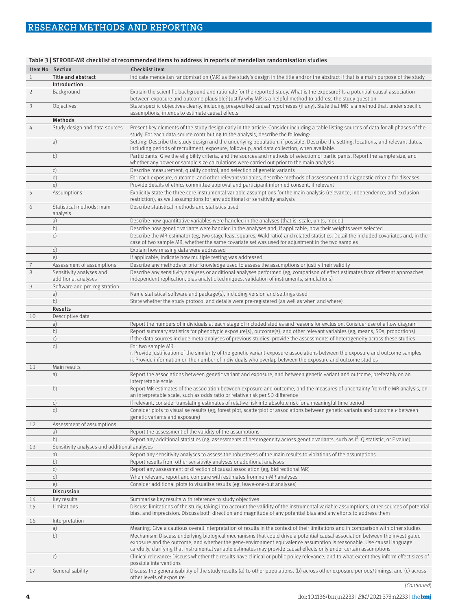## RESEARCH METHODS AND REPORTING

|                         |                                                 | Table 3   STROBE-MR checklist of recommended items to address in reports of mendelian randomisation studies                                                                                                                                                         |
|-------------------------|-------------------------------------------------|---------------------------------------------------------------------------------------------------------------------------------------------------------------------------------------------------------------------------------------------------------------------|
|                         | Item No Section                                 | Checklist item                                                                                                                                                                                                                                                      |
| 1                       | <b>Title and abstract</b>                       | Indicate mendelian randomisation (MR) as the study's design in the title and/or the abstract if that is a main purpose of the study                                                                                                                                 |
|                         | Introduction                                    |                                                                                                                                                                                                                                                                     |
| $\overline{2}$          | Background                                      | Explain the scientific background and rationale for the reported study. What is the exposure? Is a potential causal association<br>between exposure and outcome plausible? Justify why MR is a helpful method to address the study question                         |
| $\overline{\mathbf{3}}$ | Objectives                                      | State specific objectives clearly, including prespecified causal hypotheses (if any). State that MR is a method that, under specific<br>assumptions, intends to estimate causal effects                                                                             |
|                         | Methods                                         |                                                                                                                                                                                                                                                                     |
| 4                       | Study design and data sources                   | Present key elements of the study design early in the article. Consider including a table listing sources of data for all phases of the<br>study. For each data source contributing to the analysis, describe the following:                                        |
|                         | a)                                              | Setting: Describe the study design and the underlying population, if possible. Describe the setting, locations, and relevant dates,<br>including periods of recruitment, exposure, follow-up, and data collection, when available.                                  |
|                         | b)                                              | Participants: Give the eligibility criteria, and the sources and methods of selection of participants. Report the sample size, and<br>whether any power or sample size calculations were carried out prior to the main analysis                                     |
|                         | c)                                              | Describe measurement, quality control, and selection of genetic variants                                                                                                                                                                                            |
|                         | d)                                              | For each exposure, outcome, and other relevant variables, describe methods of assessment and diagnostic criteria for diseases                                                                                                                                       |
|                         | e)                                              | Provide details of ethics committee approval and participant informed consent, if relevant                                                                                                                                                                          |
| 5                       | Assumptions                                     | Explicitly state the three core instrumental variable assumptions for the main analysis (relevance, independence, and exclusion<br>restriction), as well assumptions for any additional or sensitivity analysis                                                     |
| 6                       | Statistical methods: main<br>analysis           | Describe statistical methods and statistics used                                                                                                                                                                                                                    |
|                         | a)                                              | Describe how quantitative variables were handled in the analyses (that is, scale, units, model)                                                                                                                                                                     |
|                         | b)                                              | Describe how genetic variants were handled in the analyses and, if applicable, how their weights were selected                                                                                                                                                      |
|                         | c)                                              | Describe the MR estimator (eg, two stage least squares, Wald ratio) and related statistics. Detail the included covariates and, in the<br>case of two sample MR, whether the same covariate set was used for adjustment in the two samples                          |
|                         | d)                                              | Explain how missing data were addressed                                                                                                                                                                                                                             |
|                         | e)                                              | If applicable, indicate how multiple testing was addressed                                                                                                                                                                                                          |
| $\overline{7}$          | Assessment of assumptions                       | Describe any methods or prior knowledge used to assess the assumptions or justify their validity                                                                                                                                                                    |
| 8                       | Sensitivity analyses and<br>additional analyses | Describe any sensitivity analyses or additional analyses performed (eg, comparison of effect estimates from different approaches,<br>independent replication, bias analytic techniques, validation of instruments, simulations)                                     |
| 9                       | Software and pre-registration                   |                                                                                                                                                                                                                                                                     |
|                         | a)                                              | Name statistical software and package(s), including version and settings used                                                                                                                                                                                       |
|                         | b)                                              | State whether the study protocol and details were pre-registered (as well as when and where)                                                                                                                                                                        |
|                         | <b>Results</b>                                  |                                                                                                                                                                                                                                                                     |
| 10                      | Descriptive data                                |                                                                                                                                                                                                                                                                     |
|                         | a)<br>b)                                        | Report the numbers of individuals at each stage of included studies and reasons for exclusion. Consider use of a flow diagram<br>Report summary statistics for phenotypic exposure(s), outcome(s), and other relevant variables (eg, means, SDs, proportions)       |
|                         | c)                                              | If the data sources include meta-analyses of previous studies, provide the assessments of heterogeneity across these studies                                                                                                                                        |
|                         | d)                                              | For two sample MR:<br>i. Provide justification of the similarity of the genetic variant-exposure associations between the exposure and outcome samples<br>ii. Provide information on the number of individuals who overlap between the exposure and outcome studies |
| 11                      | Main results                                    |                                                                                                                                                                                                                                                                     |
|                         | a)                                              | Report the associations between genetic variant and exposure, and between genetic variant and outcome, preferably on an<br>interpretable scale                                                                                                                      |
|                         | b)                                              | Report MR estimates of the association between exposure and outcome, and the measures of uncertainty from the MR analysis, on<br>an interpretable scale, such as odds ratio or relative risk per SD difference                                                      |
|                         | C)                                              | If relevant, consider translating estimates of relative risk into absolute risk for a meaningful time period                                                                                                                                                        |
|                         | d)                                              | Consider plots to visualise results (eg, forest plot, scatterplot of associations between genetic variants and outcome v between<br>genetic variants and exposure)                                                                                                  |
| 12                      | Assessment of assumptions                       |                                                                                                                                                                                                                                                                     |
|                         | a)                                              | Report the assessment of the validity of the assumptions                                                                                                                                                                                                            |
|                         | b)                                              | Report any additional statistics (eg, assessments of heterogeneity across genetic variants, such as $I^2$ , Q statistic, or E value)                                                                                                                                |
| 13                      | Sensitivity analyses and additional analyses    |                                                                                                                                                                                                                                                                     |
|                         | a)<br>b)                                        | Report any sensitivity analyses to assess the robustness of the main results to violations of the assumptions<br>Report results from other sensitivity analyses or additional analyses                                                                              |
|                         | $\mathsf{c})$                                   | Report any assessment of direction of causal association (eg, bidirectional MR)                                                                                                                                                                                     |
|                         | d)                                              | When relevant, report and compare with estimates from non-MR analyses                                                                                                                                                                                               |
|                         | e)                                              | Consider additional plots to visualise results (eg, leave-one-out analyses)                                                                                                                                                                                         |
|                         | <b>Discussion</b>                               |                                                                                                                                                                                                                                                                     |
| 14                      | Key results                                     | Summarise key results with reference to study objectives                                                                                                                                                                                                            |
| 15                      | Limitations                                     | Discuss limitations of the study, taking into account the validity of the instrumental variable assumptions, other sources of potential<br>bias, and imprecision. Discuss both direction and magnitude of any potential bias and any efforts to address them        |
| 16                      | Interpretation                                  |                                                                                                                                                                                                                                                                     |
|                         | a)                                              | Meaning: Give a cautious overall interpretation of results in the context of their limitations and in comparison with other studies                                                                                                                                 |
|                         | b)                                              | Mechanism: Discuss underlying biological mechanisms that could drive a potential causal association between the investigated<br>exposure and the outcome, and whether the gene-environment equivalence assumption is reasonable. Use causal language                |
|                         |                                                 | carefully, clarifying that instrumental variable estimates may provide causal effects only under certain assumptions                                                                                                                                                |
|                         | c)                                              | Clinical relevance: Discuss whether the results have clinical or public policy relevance, and to what extent they inform effect sizes of<br>possible interventions                                                                                                  |
| 17                      | Generalisability                                | Discuss the generalisability of the study results (a) to other populations, (b) across other exposure periods/timings, and (c) across<br>other levels of exposure                                                                                                   |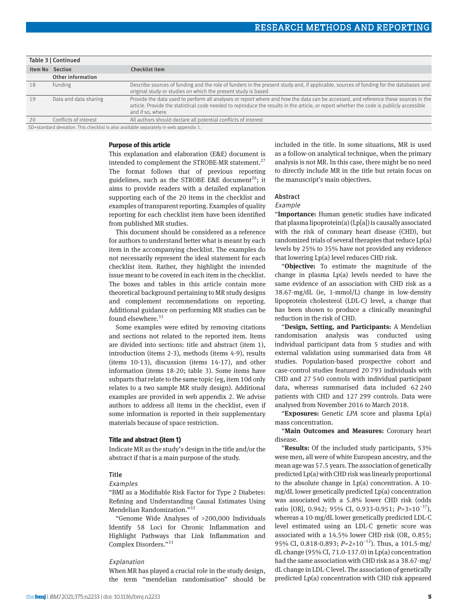|    | Table 3   Continued                                                                                                                                                                                                                |                                                                                                                                                                                                                                                                                                   |
|----|------------------------------------------------------------------------------------------------------------------------------------------------------------------------------------------------------------------------------------|---------------------------------------------------------------------------------------------------------------------------------------------------------------------------------------------------------------------------------------------------------------------------------------------------|
|    | Item No Section                                                                                                                                                                                                                    | Checklist item                                                                                                                                                                                                                                                                                    |
|    | Other information                                                                                                                                                                                                                  |                                                                                                                                                                                                                                                                                                   |
| 18 | Funding                                                                                                                                                                                                                            | Describe sources of funding and the role of funders in the present study and, if applicable, sources of funding for the databases and<br>original study or studies on which the present study is based                                                                                            |
| 19 | Data and data sharing                                                                                                                                                                                                              | Provide the data used to perform all analyses or report where and how the data can be accessed, and reference these sources in the<br>article. Provide the statistical code needed to reproduce the results in the article, or report whether the code is publicly accessible<br>and if so, where |
| 20 | Conflicts of interest                                                                                                                                                                                                              | All authors should declare all potential conflicts of interest                                                                                                                                                                                                                                    |
|    | $\overline{C}$ , and the set of the set of the set of the set of the set of the set of the set of the set of the set of the set of the set of the set of the set of the set of the set of the set of the set of the set of the set |                                                                                                                                                                                                                                                                                                   |

standard deviation. This checklist is also available separately in web appendix 1.

#### **Purpose of this article**

This explanation and elaboration (E&E) document is intended to complement the STROBE-MR statement.<sup>27</sup> The format follows that of previous reporting guidelines, such as the STROBE E&E document<sup>26</sup>; it aims to provide readers with a detailed explanation supporting each of the 20 items in the checklist and examples of transparent reporting. Examples of quality reporting for each checklist item have been identified from published MR studies.

This document should be considered as a reference for authors to understand better what is meant by each item in the accompanying checklist. The examples do not necessarily represent the ideal statement for each checklist item. Rather, they highlight the intended issue meant to be covered in each item in the checklist. The boxes and tables in this article contain more theoretical background pertaining to MR study designs and complement recommendations on reporting. Additional guidance on performing MR studies can be found elsewhere.<sup>31</sup>

Some examples were edited by removing citations and sections not related to the reported item. Items are divided into sections: title and abstract (item 1), introduction (items 2-3), methods (items 4-9), results (items 10-13), discussion (items 14-17), and other information (items 18-20; table 3). Some items have subparts that relate to the same topic (eg, item 10d only relates to a two sample MR study design). Additional examples are provided in web appendix 2. We advise authors to address all items in the checklist, even if some information is reported in their supplementary materials because of space restriction.

#### **Title and abstract (item 1)**

Indicate MR as the study's design in the title and/or the abstract if that is a main purpose of the study.

## Title

#### Examples

"BMI as a Modifiable Risk Factor for Type 2 Diabetes: Refining and Understanding Causal Estimates Using Mendelian Randomization."32

"Genome Wide Analyses of >200,000 Individuals Identify 58 Loci for Chronic Inflammation and Highlight Pathways that Link Inflammation and Complex Disorders."<sup>33</sup>

## Explanation

When MR has played a crucial role in the study design, the term "mendelian randomisation" should be included in the title. In some situations, MR is used as a follow-on analytical technique, when the primary analysis is not MR. In this case, there might be no need to directly include MR in the title but retain focus on the manuscript's main objectives.

## Abstract

## Example

"**Importance:** Human genetic studies have indicated that plasma lipoprotein(a) (Lp[a]) is causally associated with the risk of coronary heart disease (CHD), but randomized trials of several therapies that reduce Lp(a) levels by 25% to 35% have not provided any evidence that lowering Lp(a) level reduces CHD risk.

"**Objective:** To estimate the magnitude of the change in plasma Lp(a) levels needed to have the same evidence of an association with CHD risk as a 38.67-mg/dL (ie, 1-mmol/L) change in low-density lipoprotein cholesterol (LDL-C) level, a change that has been shown to produce a clinically meaningful reduction in the risk of CHD.

"**Design, Setting, and Participants:** A Mendelian randomisation analysis was conducted using individual participant data from 5 studies and with external validation using summarised data from 48 studies. Population-based prospective cohort and case-control studies featured 20 793 individuals with CHD and 27 540 controls with individual participant data, whereas summarised data included 62 240 patients with CHD and 127 299 controls. Data were analysed from November 2016 to March 2018.

"**Exposures:** Genetic *LPA* score and plasma Lp(a) mass concentration.

"**Main Outcomes and Measures:** Coronary heart disease.

"**Results:** Of the included study participants, 53% were men, all were of white European ancestry, and the mean age was 57.5 years. The association of genetically predicted Lp(a) with CHD risk was linearly proportional to the absolute change in Lp(a) concentration. A 10 mg/dL lower genetically predicted Lp(a) concentration was associated with a 5.8% lower CHD risk (odds ratio [OR], 0.942; 95% CI, 0.933-0.951; *P*=3×10−37), whereas a 10-mg/dL lower genetically predicted LDL-C level estimated using an LDL-C genetic score was associated with a 14.5% lower CHD risk (OR, 0.855; 95% CI, 0.818-0.893; *P*=2×10<sup>-12</sup>). Thus, a 101.5-mg/ dL change (95% CI, 71.0-137.0) in Lp(a) concentration had the same association with CHD risk as a 38.67-mg/ dL change in LDL-C level. The association of genetically predicted Lp(a) concentration with CHD risk appeared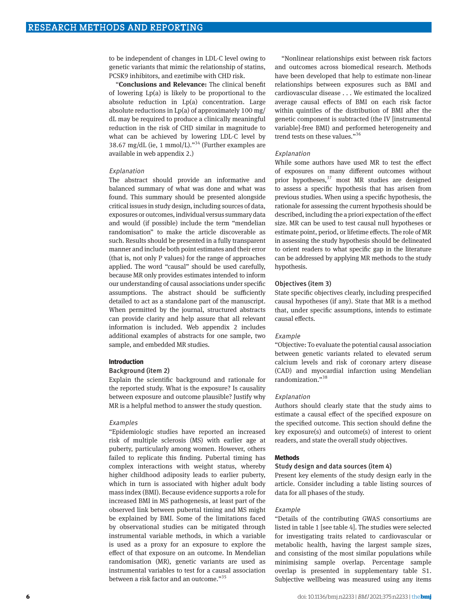to be independent of changes in LDL-C level owing to genetic variants that mimic the relationship of statins, PCSK9 inhibitors, and ezetimibe with CHD risk.

"**Conclusions and Relevance:** The clinical benefit of lowering Lp(a) is likely to be proportional to the absolute reduction in Lp(a) concentration. Large absolute reductions in Lp(a) of approximately 100 mg/ dL may be required to produce a clinically meaningful reduction in the risk of CHD similar in magnitude to what can be achieved by lowering LDL-C level by 38.67 mg/dL (ie, 1 mmol/L)."<sup>34</sup> (Further examples are available in web appendix 2.)

#### Explanation

The abstract should provide an informative and balanced summary of what was done and what was found. This summary should be presented alongside critical issues in study design, including sources of data, exposures or outcomes, individual versus summary data and would (if possible) include the term "mendelian randomisation" to make the article discoverable as such. Results should be presented in a fully transparent manner and include both point estimates and their error (that is, not only P values) for the range of approaches applied. The word "causal" should be used carefully, because MR only provides estimates intended to inform our understanding of causal associations under specific assumptions. The abstract should be sufficiently detailed to act as a standalone part of the manuscript. When permitted by the journal, structured abstracts can provide clarity and help assure that all relevant information is included. Web appendix 2 includes additional examples of abstracts for one sample, two sample, and embedded MR studies.

#### **Introduction**

#### Background (item 2)

Explain the scientific background and rationale for the reported study. What is the exposure? Is causality between exposure and outcome plausible? Justify why MR is a helpful method to answer the study question.

#### Examples

"Epidemiologic studies have reported an increased risk of multiple sclerosis (MS) with earlier age at puberty, particularly among women. However, others failed to replicate this finding. Pubertal timing has complex interactions with weight status, whereby higher childhood adiposity leads to earlier puberty, which in turn is associated with higher adult body mass index (BMI). Because evidence supports a role for increased BMI in MS pathogenesis, at least part of the observed link between pubertal timing and MS might be explained by BMI. Some of the limitations faced by observational studies can be mitigated through instrumental variable methods, in which a variable is used as a proxy for an exposure to explore the effect of that exposure on an outcome. In Mendelian randomisation (MR), genetic variants are used as instrumental variables to test for a causal association between a risk factor and an outcome."<sup>35</sup>

"Nonlinear relationships exist between risk factors and outcomes across biomedical research. Methods have been developed that help to estimate non-linear relationships between exposures such as BMI and cardiovascular disease . . . We estimated the localized average causal effects of BMI on each risk factor within quintiles of the distribution of BMI after the genetic component is subtracted (the IV [instrumental variable]-free BMI) and performed heterogeneity and trend tests on these values."<sup>36</sup>

#### Explanation

While some authors have used MR to test the effect of exposures on many different outcomes without prior hypotheses, $37$  most MR studies are designed to assess a specific hypothesis that has arisen from previous studies. When using a specific hypothesis, the rationale for assessing the current hypothesis should be described, including the a priori expectation of the effect size. MR can be used to test causal null hypotheses or estimate point, period, or lifetime effects. The role of MR in assessing the study hypothesis should be delineated to orient readers to what specific gap in the literature can be addressed by applying MR methods to the study hypothesis.

#### Objectives (item 3)

State specific objectives clearly, including prespecified causal hypotheses (if any). State that MR is a method that, under specific assumptions, intends to estimate causal effects.

#### **Example**

"Objective: To evaluate the potential causal association between genetic variants related to elevated serum calcium levels and risk of coronary artery disease (CAD) and myocardial infarction using Mendelian randomization."38

#### Explanation

Authors should clearly state that the study aims to estimate a causal effect of the specified exposure on the specified outcome. This section should define the key exposure(s) and outcome(s) of interest to orient readers, and state the overall study objectives.

## **Methods**

## Study design and data sources (item 4)

Present key elements of the study design early in the article. Consider including a table listing sources of data for all phases of the study.

## Example

"Details of the contributing GWAS consortiums are listed in table 1 [see table 4]. The studies were selected for investigating traits related to cardiovascular or metabolic health, having the largest sample sizes, and consisting of the most similar populations while minimising sample overlap. Percentage sample overlap is presented in supplementary table S1. Subjective wellbeing was measured using any items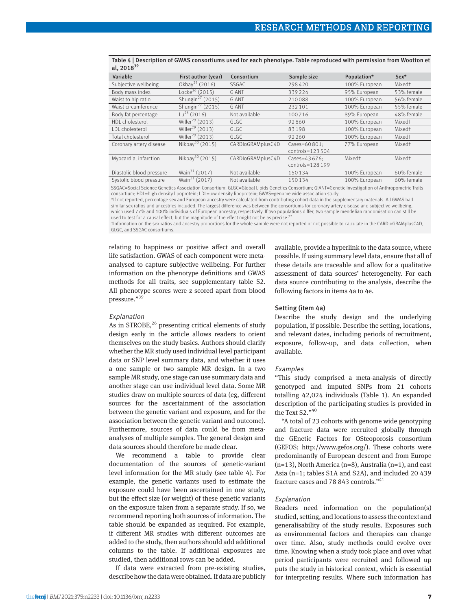| Variable                                                                                                                                           | First author (year)          | Consortium        | Sample size         | Population*        | $Sex*$             |
|----------------------------------------------------------------------------------------------------------------------------------------------------|------------------------------|-------------------|---------------------|--------------------|--------------------|
| Subjective wellbeing                                                                                                                               | Okbay <sup>25</sup> (2016)   | <b>SSGAC</b>      | 298420              | 100% European      | Mixed <sup>+</sup> |
| Body mass index                                                                                                                                    | Locke <sup>26</sup> (2015)   | GIANT             | 339224              | 95% European       | 53% female         |
| Waist to hip ratio                                                                                                                                 | Shungin <sup>27</sup> (2015) | <b>GIANT</b>      | 210088              | 100% European      | 56% female         |
| Waist circumference                                                                                                                                | Shungin <sup>27</sup> (2015) | <b>GIANT</b>      | 232101              | 100% European      | 55% female         |
| Body fat percentage                                                                                                                                | $Lu^{28}$ (2016)             | Not available     | 100716              | 89% European       | 48% female         |
| HDL cholesterol                                                                                                                                    | Willer <sup>29</sup> (2013)  | GLGC              | 92860               | 100% European      | Mixed <sup>+</sup> |
| LDL cholesterol                                                                                                                                    | Willer <sup>29</sup> (2013)  | GLGC              | 83198               | 100% European      | Mixed†             |
| Total cholesterol                                                                                                                                  | Willer <sup>29</sup> (2013)  | GLGC.             | 92 2 6 0            | 100% European      | Mixed <sup>+</sup> |
| Coronary artery disease                                                                                                                            | Nikpay <sup>30</sup> (2015)  | CARDIoGRAMplusC4D | Cases=60801:        | 77% European       | Mixed <sup>+</sup> |
|                                                                                                                                                    |                              |                   | $controls = 123504$ |                    |                    |
| Myocardial infarction                                                                                                                              | Nikpay <sup>30</sup> (2015)  | CARDIoGRAMplusC4D | Cases=43676:        | Mixed <sup>+</sup> | Mixed <sup>+</sup> |
|                                                                                                                                                    |                              |                   | controls=128 199    |                    |                    |
| Diastolic blood pressure                                                                                                                           | Wain <sup>31</sup> (2017)    | Not available     | 150134              | 100% European      | 60% female         |
| Systolic blood pressure                                                                                                                            | Wain <sup>31</sup> (2017)    | Not available     | 150134              | 100% European      | 60% female         |
| SSCAC-Social Science Conotics Association Consectium, CLGC-Clobal Linids Conotics Consectium, CLANT-Conotic Investigation of Anthronometric Traits |                              |                   |                     |                    |                    |

Table 4 | Description of GWAS consortiums used for each phenotype. Table reproduced with permission from Wootton et al,  $2018^{39}$ 

SSGAC=Social Science Genetics Association Consortium; GLGC=Global Lipids Genetics Consortium; GIANT=Genetic Investigation of Anthropometric Traits<br>consortium; HDL=high density lipoprotein; LDL=low density lipoprotein; GWA

\*If not reported, percentage sex and European ancestry were calculated from contributing cohort data in the supplementary materials. All GWAS had similar sex ratios and ancestries included. The largest difference was between the consortiums for coronary artery disease and subjective wellbeing, which used 77% and 100% individuals of European ancestry, respectively. If two populations differ, two sample mendelian randomisation can still be used to test for a causal effect, but the magnitude of the effect might not be as precise.<sup>32</sup>

†Information on the sex ratios and ancestry proportions for the whole sample were not reported or not possible to calculate in the CARDIoGRAMplusC4D, GLGC, and SSGAC consortiums.

relating to happiness or positive affect and overall life satisfaction. GWAS of each component were metaanalysed to capture subjective wellbeing. For further information on the phenotype definitions and GWAS methods for all traits, see supplementary table S2. All phenotype scores were z scored apart from blood pressure."39

## Explanation

As in STROBE,  $26$  presenting critical elements of study design early in the article allows readers to orient themselves on the study basics. Authors should clarify whether the MR study used individual level participant data or SNP level summary data, and whether it uses a one sample or two sample MR design. In a two sample MR study, one stage can use summary data and another stage can use individual level data. Some MR studies draw on multiple sources of data (eg, different sources for the ascertainment of the association between the genetic variant and exposure, and for the association between the genetic variant and outcome). Furthermore, sources of data could be from metaanalyses of multiple samples. The general design and data sources should therefore be made clear.

We recommend a table to provide clear documentation of the sources of genetic-variant level information for the MR study (see table 4). For example, the genetic variants used to estimate the exposure could have been ascertained in one study, but the effect size (or weight) of these genetic variants on the exposure taken from a separate study. If so, we recommend reporting both sources of information. The table should be expanded as required. For example, if different MR studies with different outcomes are added to the study, then authors should add additional columns to the table. If additional exposures are studied, then additional rows can be added.

If data were extracted from pre-existing studies, describe how the data were obtained. If data are publicly available, provide a hyperlink to the data source, where possible. If using summary level data, ensure that all of these details are traceable and allow for a qualitative assessment of data sources' heterogeneity. For each data source contributing to the analysis, describe the following factors in items 4a to 4e.

## Setting (item 4a)

Describe the study design and the underlying population, if possible. Describe the setting, locations, and relevant dates, including periods of recruitment, exposure, follow-up, and data collection, when available.

#### Examples

"This study comprised a meta-analysis of directly genotyped and imputed SNPs from 21 cohorts totalling 42,024 individuals (Table 1). An expanded description of the participating studies is provided in the Text S2."40

"A total of 23 cohorts with genome wide genotyping and fracture data were recruited globally through the GEnetic Factors for OSteoporosis consortium (GEFOS; <http://www.gefos.org/>). These cohorts were predominantly of European descent and from Europe  $(n=13)$ , North America  $(n=8)$ , Australia  $(n=1)$ , and east Asia (n=1; tables S1A and S2A), and included 20 439 fracture cases and 78 843 controls."<sup>41</sup>

#### Explanation

Readers need information on the population(s) studied, setting, and locations to assess the context and generalisability of the study results. Exposures such as environmental factors and therapies can change over time. Also, study methods could evolve over time. Knowing when a study took place and over what period participants were recruited and followed up puts the study in historical context, which is essential for interpreting results. Where such information has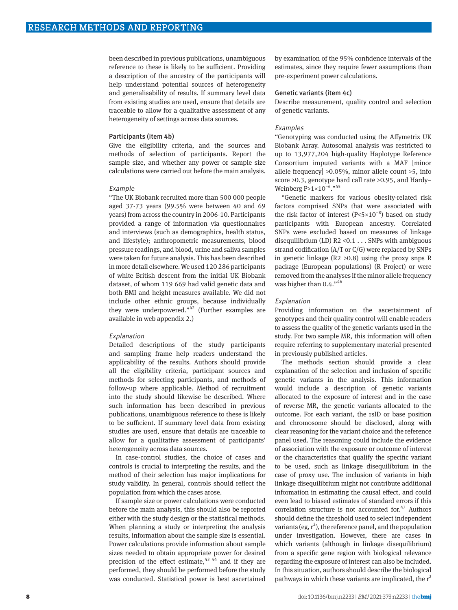been described in previous publications, unambiguous reference to these is likely to be sufficient. Providing a description of the ancestry of the participants will help understand potential sources of heterogeneity and generalisability of results. If summary level data from existing studies are used, ensure that details are traceable to allow for a qualitative assessment of any heterogeneity of settings across data sources.

#### Participants (item 4b)

Give the eligibility criteria, and the sources and methods of selection of participants. Report the sample size, and whether any power or sample size calculations were carried out before the main analysis.

#### Example

"The UK Biobank recruited more than 500 000 people aged 37-73 years (99.5% were between 40 and 69 years) from across the country in 2006-10. Participants provided a range of information via questionnaires and interviews (such as demographics, health status, and lifestyle); anthropometric measurements, blood pressure readings, and blood, urine and saliva samples were taken for future analysis. This has been described in more detail elsewhere. We used 120 286 participants of white British descent from the initial UK Biobank dataset, of whom 119 669 had valid genetic data and both BMI and height measures available. We did not include other ethnic groups, because individually they were underpowered." $42$  (Further examples are available in web appendix 2.)

#### Explanation

Detailed descriptions of the study participants and sampling frame help readers understand the applicability of the results. Authors should provide all the eligibility criteria, participant sources and methods for selecting participants, and methods of follow-up where applicable. Method of recruitment into the study should likewise be described. Where such information has been described in previous publications, unambiguous reference to these is likely to be sufficient. If summary level data from existing studies are used, ensure that details are traceable to allow for a qualitative assessment of participants' heterogeneity across data sources.

In case-control studies, the choice of cases and controls is crucial to interpreting the results, and the method of their selection has major implications for study validity. In general, controls should reflect the population from which the cases arose.

If sample size or power calculations were conducted before the main analysis, this should also be reported either with the study design or the statistical methods. When planning a study or interpreting the analysis results, information about the sample size is essential. Power calculations provide information about sample sizes needed to obtain appropriate power for desired precision of the effect estimate,  $43,44$  and if they are performed, they should be performed before the study was conducted. Statistical power is best ascertained by examination of the 95% confidence intervals of the estimates, since they require fewer assumptions than pre-experiment power calculations.

#### Genetic variants (item 4c)

Describe measurement, quality control and selection of genetic variants.

## Examples

"Genotyping was conducted using the Affymetrix UK Biobank Array. Autosomal analysis was restricted to up to 13,977,204 high-quality Haplotype Reference Consortium imputed variants with a MAF [minor allele frequency] >0.05%, minor allele count >5, info score >0.3, genotype hard call rate >0.95, and Hardy– Weinberg P>1×10<sup>-6</sup>."<sup>45</sup>

"Genetic markers for various obesity-related risk factors comprised SNPs that were associated with the risk factor of interest  $(P<5×10^{-8})$  based on study participants with European ancestry. Correlated SNPs were excluded based on measures of linkage disequilibrium (LD)  $R2 < 0.1$  ... SNPs with ambiguous strand codification (A/T or C/G) were replaced by SNPs in genetic linkage  $(R2 > 0.8)$  using the proxy snps R package (European populations) (R Project) or were removed from the analyses if the minor allele frequency was higher than 0.4."<sup>46</sup>

#### Explanation

Providing information on the ascertainment of genotypes and their quality control will enable readers to assess the quality of the genetic variants used in the study. For two sample MR, this information will often require referring to supplementary material presented in previously published articles.

The methods section should provide a clear explanation of the selection and inclusion of specific genetic variants in the analysis. This information would include a description of genetic variants allocated to the exposure of interest and in the case of reverse MR, the genetic variants allocated to the outcome. For each variant, the rsID or base position and chromosome should be disclosed, along with clear reasoning for the variant choice and the reference panel used. The reasoning could include the evidence of association with the exposure or outcome of interest or the characteristics that qualify the specific variant to be used, such as linkage disequilibrium in the case of proxy use. The inclusion of variants in high linkage disequilibrium might not contribute additional information in estimating the causal effect, and could even lead to biased estimates of standard errors if this correlation structure is not accounted for.<sup>47</sup> Authors should define the threshold used to select independent variants (eg,  $r^2$ ), the reference panel, and the population under investigation. However, there are cases in which variants (although in linkage disequilibrium) from a specific gene region with biological relevance regarding the exposure of interest can also be included. In this situation, authors should describe the biological pathways in which these variants are implicated, the  $r^2$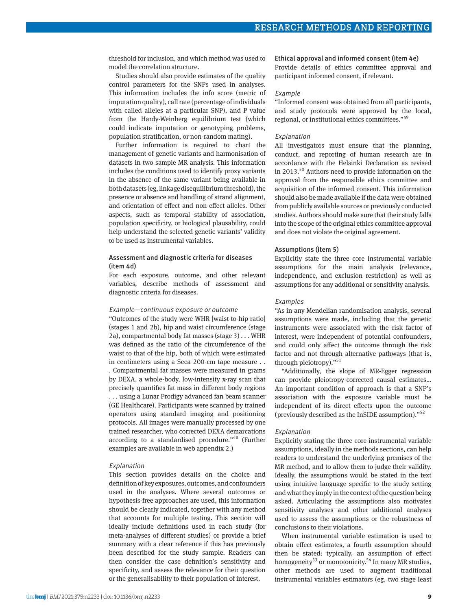threshold for inclusion, and which method was used to model the correlation structure.

Studies should also provide estimates of the quality control parameters for the SNPs used in analyses. This information includes the info score (metric of imputation quality), call rate (percentage of individuals with called alleles at a particular SNP), and P value from the Hardy-Weinberg equilibrium test (which could indicate imputation or genotyping problems, population stratification, or non-random mating).

Further information is required to chart the management of genetic variants and harmonisation of datasets in two sample MR analysis. This information includes the conditions used to identify proxy variants in the absence of the same variant being available in both datasets (eg, linkage disequilibrium threshold), the presence or absence and handling of strand alignment, and orientation of effect and non-effect alleles. Other aspects, such as temporal stability of association, population specificity, or biological plausability, could help understand the selected genetic variants' validity to be used as instrumental variables.

## Assessment and diagnostic criteria for diseases (item 4d)

For each exposure, outcome, and other relevant variables, describe methods of assessment and diagnostic criteria for diseases.

#### Example—continuous exposure or outcome

"Outcomes of the study were WHR [waist-to-hip ratio] (stages 1 and 2b), hip and waist circumference (stage 2a), compartmental body fat masses (stage 3) . . . WHR was defined as the ratio of the circumference of the waist to that of the hip, both of which were estimated in centimeters using a Seca 200-cm tape measure . . . Compartmental fat masses were measured in grams by DEXA, a whole-body, low-intensity x-ray scan that precisely quantifies fat mass in different body regions . . . using a Lunar Prodigy advanced fan beam scanner (GE Healthcare). Participants were scanned by trained operators using standard imaging and positioning protocols. All images were manually processed by one trained researcher, who corrected DEXA demarcations according to a standardised procedure."<sup>48</sup> (Further examples are available in web appendix 2.)

## Explanation

This section provides details on the choice and definition of key exposures, outcomes, and confounders used in the analyses. Where several outcomes or hypothesis-free approaches are used, this information should be clearly indicated, together with any method that accounts for multiple testing. This section will ideally include definitions used in each study (for meta-analyses of different studies) or provide a brief summary with a clear reference if this has previously been described for the study sample. Readers can then consider the case definition's sensitivity and specificity, and assess the relevance for their question or the generalisability to their population of interest.

#### Ethical approval and informed consent (item 4e)

Provide details of ethics committee approval and participant informed consent, if relevant.

#### Example

"Informed consent was obtained from all participants, and study protocols were approved by the local, regional, or institutional ethics committees."49

#### Explanation

All investigators must ensure that the planning, conduct, and reporting of human research are in accordance with the Helsinki Declaration as revised in 2013. $50$  Authors need to provide information on the approval from the responsible ethics committee and acquisition of the informed consent. This information should also be made available if the data were obtained from publicly available sources or previously conducted studies. Authors should make sure that their study falls into the scope of the original ethics committee approval and does not violate the original agreement.

#### Assumptions (item 5)

Explicitly state the three core instrumental variable assumptions for the main analysis (relevance, independence, and exclusion restriction) as well as assumptions for any additional or sensitivity analysis.

#### Examples

"As in any Mendelian randomisation analysis, several assumptions were made, including that the genetic instruments were associated with the risk factor of interest, were independent of potential confounders, and could only affect the outcome through the risk factor and not through alternative pathways (that is, through pleiotropy)."51

"Additionally, the slope of MR-Egger regression can provide pleiotropy-corrected causal estimates… An important condition of approach is that a SNP's association with the exposure variable must be independent of its direct effects upon the outcome (previously described as the InSIDE assumption)."52

#### Explanation

Explicitly stating the three core instrumental variable assumptions, ideally in the methods sections, can help readers to understand the underlying premises of the MR method, and to allow them to judge their validity. Ideally, the assumptions would be stated in the text using intuitive language specific to the study setting and what they imply in the context of the question being asked. Articulating the assumptions also motivates sensitivity analyses and other additional analyses used to assess the assumptions or the robustness of conclusions to their violations.

When instrumental variable estimation is used to obtain effect estimates, a fourth assumption should then be stated: typically, an assumption of effect homogeneity<sup>53</sup> or monotonicity.<sup>54</sup> In many MR studies, other methods are used to augment traditional instrumental variables estimators (eg, two stage least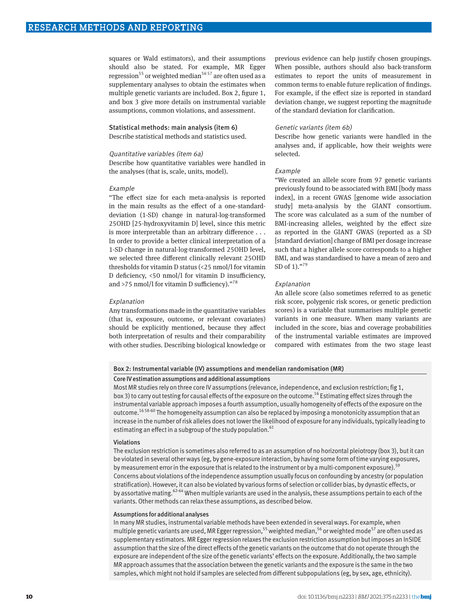squares or Wald estimators), and their assumptions should also be stated. For example, MR Egger regression<sup>55</sup> or weighted median<sup>56 57</sup> are often used as a supplementary analyses to obtain the estimates when multiple genetic variants are included. Box 2, figure 1, and box 3 give more details on instrumental variable assumptions, common violations, and assessment.

## Statistical methods: main analysis (item 6)

Describe statistical methods and statistics used.

#### Quantitative variables (item 6a)

Describe how quantitative variables were handled in the analyses (that is, scale, units, model).

## Example

"The effect size for each meta-analysis is reported in the main results as the effect of a one-standarddeviation (1-SD) change in natural-log-transformed 25OHD [25-hydroxyvitamin D] level, since this metric is more interpretable than an arbitrary difference . . . In order to provide a better clinical interpretation of a 1-SD change in natural-log-transformed 25OHD level, we selected three different clinically relevant 25OHD thresholds for vitamin D status (<25 nmol/l for vitamin D deficiency, <50 nmol/l for vitamin D insufficiency, and >75 nmol/l for vitamin D sufficiency)."78

#### Explanation

Any transformations made in the quantitative variables (that is, exposure, outcome, or relevant covariates) should be explicitly mentioned, because they affect both interpretation of results and their comparability with other studies. Describing biological knowledge or

previous evidence can help justify chosen groupings. When possible, authors should also back-transform estimates to report the units of measurement in common terms to enable future replication of findings. For example, if the effect size is reported in standard deviation change, we suggest reporting the magnitude of the standard deviation for clarification.

#### Genetic variants (item 6b)

Describe how genetic variants were handled in the analyses and, if applicable, how their weights were selected.

#### Example

"We created an allele score from 97 genetic variants previously found to be associated with BMI [body mass index], in a recent GWAS [genome wide association study] meta-analysis by the GIANT consortium. The score was calculated as a sum of the number of BMI-increasing alleles, weighted by the effect size as reported in the GIANT GWAS (reported as a SD [standard deviation] change of BMI per dosage increase such that a higher allele score corresponds to a higher BMI, and was standardised to have a mean of zero and SD of 1)."<sup>79</sup>

#### Explanation

An allele score (also sometimes referred to as genetic risk score, polygenic risk scores, or genetic prediction scores) is a variable that summarises multiple genetic variants in one measure. When many variants are included in the score, bias and coverage probabilities of the instrumental variable estimates are improved compared with estimates from the two stage least

## Box 2: Instrumental variable (IV) assumptions and mendelian randomisation (MR)

#### Core IV estimation assumptions and additional assumptions

Most MR studies rely on three core IV assumptions (relevance, independence, and exclusion restriction; fig 1, box 3) to carry out testing for causal effects of the exposure on the outcome.<sup>16</sup> Estimating effect sizes through the instrumental variable approach imposes a fourth assumption, usually homogeneity of effects of the exposure on the outcome.16 58-60 The homogeneity assumption can also be replaced by imposing a monotonicity assumption that an increase in the number of risk alleles does not lower the likelihood of exposure for any individuals, typically leading to estimating an effect in a subgroup of the study population.<sup>61</sup>

#### Violations

The exclusion restriction is sometimes also referred to as an assumption of no horizontal pleiotropy (box 3), but it can be violated in several other ways (eg, by gene-exposure interaction, by having some form of time varying exposures, by measurement error in the exposure that is related to the instrument or by a multi-component exposure).<sup>59</sup> Concerns about violations of the independence assumption usually focus on confounding by ancestry (or population stratification). However, it can also be violated by various forms of selection or collider bias, by dynastic effects, or by assortative mating.<sup>62-64</sup> When multiple variants are used in the analysis, these assumptions pertain to each of the variants. Other methods can relax these assumptions, as described below.

#### Assumptions for additional analyses

In many MR studies, instrumental variable methods have been extended in several ways. For example, when multiple genetic variants are used, MR Egger regression,<sup>55</sup> weighted median,<sup>56</sup> or weighted mode<sup>57</sup> are often used as supplementary estimators. MR Egger regression relaxes the exclusion restriction assumption but imposes an InSIDE assumption that the size of the direct effects of the genetic variants on the outcome that do not operate through the exposure are independent of the size of the genetic variants' effects on the exposure. Additionally, the two sample MR approach assumes that the association between the genetic variants and the exposure is the same in the two samples, which might not hold if samples are selected from different subpopulations (eg, by sex, age, ethnicity).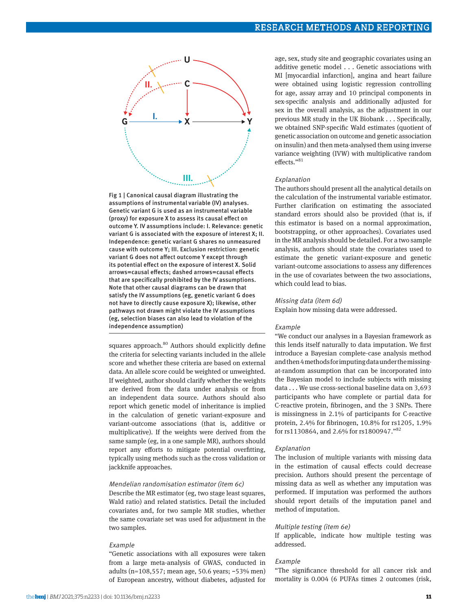



squares approach.<sup>80</sup> Authors should explicitly define the criteria for selecting variants included in the allele score and whether these criteria are based on external data. An allele score could be weighted or unweighted. If weighted, author should clarify whether the weights are derived from the data under analysis or from an independent data source. Authors should also report which genetic model of inheritance is implied in the calculation of genetic variant-exposure and variant-outcome associations (that is, additive or multiplicative). If the weights were derived from the same sample (eg, in a one sample MR), authors should report any efforts to mitigate potential overfitting, typically using methods such as the cross validation or jackknife approaches.

## Mendelian randomisation estimator (item 6c)

Describe the MR estimator (eg, two stage least squares, Wald ratio) and related statistics. Detail the included covariates and, for two sample MR studies, whether the same covariate set was used for adjustment in the two samples.

#### Example

"Genetic associations with all exposures were taken from a large meta-analysis of GWAS, conducted in adults (n=108,557; mean age, 50.6 years; ~53% men) of European ancestry, without diabetes, adjusted for

age, sex, study site and geographic covariates using an additive genetic model . . . Genetic associations with MI [myocardial infarction], angina and heart failure were obtained using logistic regression controlling for age, assay array and 10 principal components in sex-specific analysis and additionally adjusted for sex in the overall analysis, as the adjustment in our previous MR study in the UK Biobank . . . Specifically, we obtained SNP-specific Wald estimates (quotient of genetic association on outcome and genetic association on insulin) and then meta-analysed them using inverse variance weighting (IVW) with multiplicative random effects."81

#### Explanation

The authors should present all the analytical details on the calculation of the instrumental variable estimator. Further clarification on estimating the associated standard errors should also be provided (that is, if this estimator is based on a normal approximation, bootstrapping, or other approaches). Covariates used in the MR analysis should be detailed. For a two sample analysis, authors should state the covariates used to estimate the genetic variant-exposure and genetic variant-outcome associations to assess any differences in the use of covariates between the two associations, which could lead to bias.

#### Missing data (item 6d)

Explain how missing data were addressed.

#### Example

"We conduct our analyses in a Bayesian framework as this lends itself naturally to data imputation. We first introduce a Bayesian complete-case analysis method and then 4 methods for imputing data under the missingat-random assumption that can be incorporated into the Bayesian model to include subjects with missing data . . . We use cross-sectional baseline data on 3,693 participants who have complete or partial data for C-reactive protein, fibrinogen, and the 3 SNPs. There is missingness in 2.1% of participants for C-reactive protein, 2.4% for fibrinogen, 10.8% for rs1205, 1.9% for rs1130864, and 2.6% for rs1800947."82

#### Explanation

The inclusion of multiple variants with missing data in the estimation of causal effects could decrease precision. Authors should present the percentage of missing data as well as whether any imputation was performed. If imputation was performed the authors should report details of the imputation panel and method of imputation.

#### Multiple testing (item 6e)

If applicable, indicate how multiple testing was addressed.

#### Example

"The significance threshold for all cancer risk and mortality is 0.004 (6 PUFAs times 2 outcomes (risk,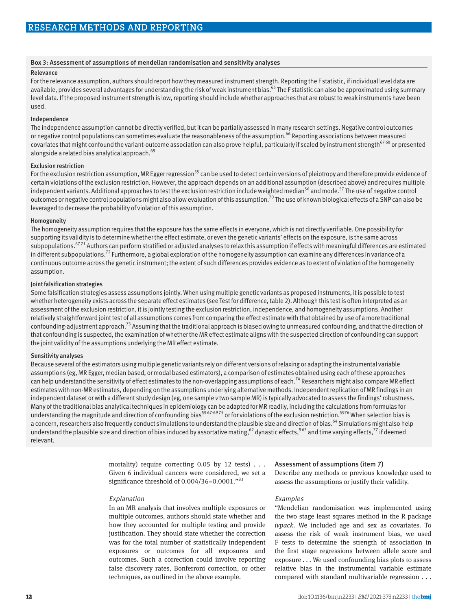#### Box 3: Assessment of assumptions of mendelian randomisation and sensitivity analyses

## Relevance

For the relevance assumption, authors should report how they measured instrument strength. Reporting the F statistic, if individual level data are available, provides several advantages for understanding the risk of weak instrument bias.<sup>65</sup> The F statistic can also be approximated using summary level data. If the proposed instrument strength is low, reporting should include whether approaches that are robust to weak instruments have been used.

## Independence

The independence assumption cannot be directly verified, but it can be partially assessed in many research settings. Negative control outcomes or negative control populations can sometimes evaluate the reasonableness of the assumption.<sup>66</sup> Reporting associations between measured covariates that might confound the variant-outcome association can also prove helpful, particularly if scaled by instrument strength<sup>6768</sup> or presented alongside a related bias analytical approach.<sup>69</sup>

#### Exclusion restriction

For the exclusion restriction assumption, MR Egger regression<sup>55</sup> can be used to detect certain versions of pleiotropy and therefore provide evidence of certain violations of the exclusion restriction. However, the approach depends on an additional assumption (described above) and requires multiple independent variants. Additional approaches to test the exclusion restriction include weighted median<sup>56</sup> and mode.<sup>57</sup> The use of negative control outcomes or negative control populations might also allow evaluation of this assumption.<sup>70</sup> The use of known biological effects of a SNP can also be leveraged to decrease the probability of violation of this assumption.

## Homogeneity

The homogeneity assumption requires that the exposure has the same effects in everyone, which is not directly verifiable. One possibility for supporting its validity is to determine whether the effect estimate, or even the genetic variants' effects on the exposure, is the same across subpopulations.<sup>6771</sup> Authors can perform stratified or adjusted analyses to relax this assumption if effects with meaningful differences are estimated in different subpopulations.<sup>72</sup> Furthermore, a global exploration of the homogeneity assumption can examine any differences in variance of a continuous outcome across the genetic instrument; the extent of such differences provides evidence as to extent of violation of the homogeneity assumption.

#### Joint falsification strategies

Some falsification strategies assess assumptions jointly. When using multiple genetic variants as proposed instruments, it is possible to test whether heterogeneity exists across the separate effect estimates (see Test for difference, table 2). Although this test is often interpreted as an assessment of the exclusion restriction, it is jointly testing the exclusion restriction, independence, and homogeneity assumptions. Another relatively straightforward joint test of all assumptions comes from comparing the effect estimate with that obtained by use of a more traditional confounding-adjustment approach.<sup>73</sup> Assuming that the traditional approach is biased owing to unmeasured confounding, and that the direction of that confounding is suspected, the examination of whether the MR effect estimate aligns with the suspected direction of confounding can support the joint validity of the assumptions underlying the MR effect estimate.

#### Sensitivity analyses

Because several of the estimators using multiple genetic variants rely on different versions of relaxing or adapting the instrumental variable assumptions (eg, MR Egger, median based, or modal based estimators), a comparison of estimates obtained using each of these approaches can help understand the sensitivity of effect estimates to the non-overlapping assumptions of each.<sup>74</sup> Researchers might also compare MR effect estimates with non-MR estimates, depending on the assumptions underlying alternative methods. Independent replication of MR findings in an independent dataset or with a different study design (eg, one sample *v* two sample MR) is typically advocated to assess the findings' robustness. Many of the traditional bias analytical techniques in epidemiology can be adapted for MR readily, including the calculations from formulas for understanding the magnitude and direction of confounding bias<sup>5967-6975</sup> or for violations of the exclusion restriction.<sup>5976</sup> When selection bias is a concern, researchers also frequently conduct simulations to understand the plausible size and direction of bias.<sup>64</sup> Simulations might also help understand the plausible size and direction of bias induced by assortative mating,<sup>62</sup> dynastic effects,<sup>963</sup> and time varying effects,<sup>77</sup> if deemed relevant.

> mortality) require correcting 0.05 by 12 tests) . . . Given 6 individual cancers were considered, we set a significance threshold of  $0.004/36=0.0001.^{83}$

#### Explanation

In an MR analysis that involves multiple exposures or multiple outcomes, authors should state whether and how they accounted for multiple testing and provide justification. They should state whether the correction was for the total number of statistically independent exposures or outcomes for all exposures and outcomes. Such a correction could involve reporting false discovery rates, Bonferroni correction, or other techniques, as outlined in the above example.

#### Assessment of assumptions (item 7)

Describe any methods or previous knowledge used to assess the assumptions or justify their validity.

#### Examples

"Mendelian randomisation was implemented using the two stage least squares method in the R package *ivpack*. We included age and sex as covariates. To assess the risk of weak instrument bias, we used F tests to determine the strength of association in the first stage regressions between allele score and exposure . . . We used confounding bias plots to assess relative bias in the instrumental variable estimate compared with standard multivariable regression . . .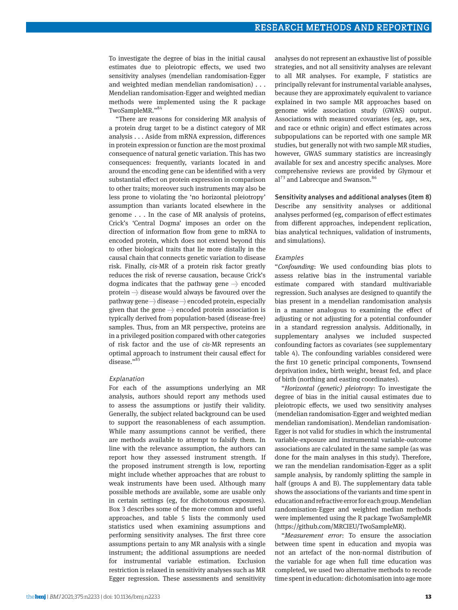To investigate the degree of bias in the initial causal estimates due to pleiotropic effects, we used two sensitivity analyses (mendelian randomisation-Egger and weighted median mendelian randomisation) . . . Mendelian randomisation-Egger and weighted median methods were implemented using the R package TwoSampleMR."<sup>84</sup>

"There are reasons for considering MR analysis of a protein drug target to be a distinct category of MR analysis . . . Aside from mRNA expression, differences in protein expression or function are the most proximal consequence of natural genetic variation. This has two consequences: frequently, variants located in and around the encoding gene can be identified with a very substantial effect on protein expression in comparison to other traits; moreover such instruments may also be less prone to violating the 'no horizontal pleiotropy' assumption than variants located elsewhere in the genome . . . In the case of MR analysis of proteins, Crick's 'Central Dogma' imposes an order on the direction of information flow from gene to mRNA to encoded protein, which does not extend beyond this to other biological traits that lie more distally in the causal chain that connects genetic variation to disease risk. Finally, *cis-*MR of a protein risk factor greatly reduces the risk of reverse causation, because Crick's dogma indicates that the pathway gene → encoded protein  $\rightarrow$  disease would always be favoured over the pathway gene → disease → encoded protein, especially given that the gene  $\rightarrow$  encoded protein association is typically derived from population-based (disease-free) samples. Thus, from an MR perspective, proteins are in a privileged position compared with other categories of risk factor and the use of *cis-*MR represents an optimal approach to instrument their causal effect for disease."<sup>85</sup>

#### Explanation

For each of the assumptions underlying an MR analysis, authors should report any methods used to assess the assumptions or justify their validity. Generally, the subject related background can be used to support the reasonableness of each assumption. While many assumptions cannot be verified, there are methods available to attempt to falsify them. In line with the relevance assumption, the authors can report how they assessed instrument strength. If the proposed instrument strength is low, reporting might include whether approaches that are robust to weak instruments have been used. Although many possible methods are available, some are usable only in certain settings (eg, for dichotomous exposures). Box 3 describes some of the more common and useful approaches, and table 5 lists the commonly used statistics used when examining assumptions and performing sensitivity analyses. The first three core assumptions pertain to any MR analysis with a single instrument; the additional assumptions are needed for instrumental variable estimation. Exclusion restriction is relaxed in sensitivity analyses such as MR Egger regression. These assessments and sensitivity

analyses do not represent an exhaustive list of possible strategies, and not all sensitivity analyses are relevant to all MR analyses. For example, F statistics are principally relevant for instrumental variable analyses, because they are approximately equivalent to variance explained in two sample MR approaches based on genome wide association study (GWAS) output. Associations with measured covariates (eg, age, sex, and race or ethnic origin) and effect estimates across subpopulations can be reported with one sample MR studies, but generally not with two sample MR studies, however, GWAS summary statistics are increasingly available for sex and ancestry specific analyses. More comprehensive reviews are provided by Glymour et al<sup>73</sup> and Labrecque and Swanson.<sup>86</sup>

#### Sensitivity analyses and additional analyses (item 8)

Describe any sensitivity analyses or additional analyses performed (eg, comparison of effect estimates from different approaches, independent replication, bias analytical techniques, validation of instruments, and simulations).

#### Examples

"*Confounding*: We used confounding bias plots to assess relative bias in the instrumental variable estimate compared with standard multivariable regression. Such analyses are designed to quantify the bias present in a mendelian randomisation analysis in a manner analogous to examining the effect of adjusting or not adjusting for a potential confounder in a standard regression analysis. Additionally, in supplementary analyses we included suspected confounding factors as covariates (see supplementary table 4). The confounding variables considered were the first 10 genetic principal components, Townsend deprivation index, birth weight, breast fed, and place of birth (northing and easting coordinates).

"*Horizontal (genetic) pleiotropy*: To investigate the degree of bias in the initial causal estimates due to pleiotropic effects, we used two sensitivity analyses (mendelian randomisation-Egger and weighted median mendelian randomisation). Mendelian randomisation-Egger is not valid for studies in which the instrumental variable-exposure and instrumental variable-outcome associations are calculated in the same sample (as was done for the main analyses in this study). Therefore, we ran the mendelian randomisation-Egger as a split sample analysis, by randomly splitting the sample in half (groups A and B). The supplementary data table shows the associations of the variants and time spent in education and refractive error for each group. Mendelian randomisation-Egger and weighted median methods were implemented using the R package TwoSampleMR [\(https://github.com/MRCIEU/TwoSampleMR\)](https://github.com/MRCIEU/TwoSampleMR).

"*Measurement error*: To ensure the association between time spent in education and myopia was not an artefact of the non-normal distribution of the variable for age when full time education was completed, we used two alternative methods to recode time spent in education: dichotomisation into age more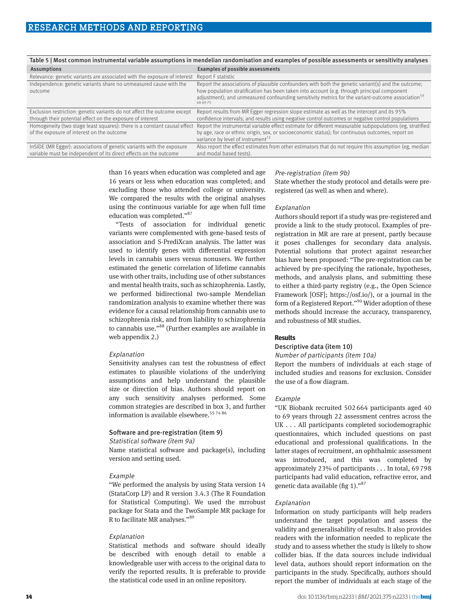|                                                                                                                                            | iasie o i most common motiamental ranasie assamptions in menaetian ranaomsation and examptes or possiste assessments or sensitivity analyses                                                                                                                                                                                   |
|--------------------------------------------------------------------------------------------------------------------------------------------|--------------------------------------------------------------------------------------------------------------------------------------------------------------------------------------------------------------------------------------------------------------------------------------------------------------------------------|
| Assumptions                                                                                                                                | Examples of possible assessments                                                                                                                                                                                                                                                                                               |
| Relevance: genetic variants are associated with the exposure of interest                                                                   | Report F statistic                                                                                                                                                                                                                                                                                                             |
| Independence: genetic variants share no unmeasured cause with the<br>outcome                                                               | Report the associations of plausible confounders with both the genetic variant(s) and the outcome;<br>how population stratification has been taken into account (e.g. through principal component<br>adjustment); and unmeasured confounding sensitivity metrics for the variant-outcome association <sup>59</sup><br>68 69 75 |
| Exclusion restriction: genetic variants do not affect the outcome except<br>through their potential effect on the exposure of interest     | Report results from MR Egger regression slope estimate as well as the intercept and its 95%<br>confidence intervals; and results using negative control outcomes or negative control populations                                                                                                                               |
| Homogeneity (two stage least squares): there is a constant causal effect<br>of the exposure of interest on the outcome                     | Report the instrumental variable effect estimate for different measurable subpopulations (eg, stratified<br>by age, race or ethnic origin, sex, or socioeconomic status); for continuous outcomes, report on<br>variance by level of instrument <sup>72</sup>                                                                  |
| InSIDE (MR Egger): associations of genetic variants with the exposure<br>variable must be independent of its direct effects on the outcome | Also report the effect estimates from other estimators that do not require this assumption (eg. median<br>and modal based tests).                                                                                                                                                                                              |
|                                                                                                                                            |                                                                                                                                                                                                                                                                                                                                |

Table 5 | Most common instrumental variable assumptions in mendelian randomisation and examples of possible assessments or sensitivity analyses

than 16 years when education was completed and age 16 years or less when education was completed; and excluding those who attended college or university. We compared the results with the original analyses using the continuous variable for age when full time education was completed."<sup>87</sup>

"Tests of association for individual genetic variants were complemented with gene-based tests of association and S-PrediXcan analysis. The latter was used to identify genes with differential expression levels in cannabis users versus nonusers. We further estimated the genetic correlation of lifetime cannabis use with other traits, including use of other substances and mental health traits, such as schizophrenia. Lastly, we performed bidirectional two-sample Mendelian randomization analysis to examine whether there was evidence for a causal relationship from cannabis use to schizophrenia risk, and from liability to schizophrenia to cannabis use."<sup>88</sup> (Further examples are available in web appendix 2.)

#### Explanation

Sensitivity analyses can test the robustness of effect estimates to plausible violations of the underlying assumptions and help understand the plausible size or direction of bias. Authors should report on any such sensitivity analyses performed. Some common strategies are described in box 3, and further information is available elsewhere.<sup>55 74 86</sup>

#### Software and pre-registration (item 9)

## Statistical software (item 9a)

Name statistical software and package(s), including version and setting used.

## Example

"We performed the analysis by using Stata version 14 (StataCorp LP) and R version 3.4.3 (The R Foundation for Statistical Computing). We used the mrrobust package for Stata and the TwoSample MR package for R to facilitate MR analyses."89

## Explanation

Statistical methods and software should ideally be described with enough detail to enable a knowledgeable user with access to the original data to verify the reported results. It is preferable to provide the statistical code used in an online repository.

#### Pre-registration (item 9b)

State whether the study protocol and details were preregistered (as well as when and where).

#### Explanation

Authors should report if a study was pre-registered and provide a link to the study protocol. Examples of preregistration in MR are rare at present, partly because it poses challenges for secondary data analysis. Potential solutions that protect against researcher bias have been proposed: "The pre-registration can be achieved by pre-specifying the rationale, hypotheses, methods, and analysis plans, and submitting these to either a third-party registry (e.g., the Open Science Framework [OSF]; [https://osf.io/\)](https://osf.io/), or a journal in the form of a Registered Report."<sup>90</sup> Wider adoption of these methods should increase the accuracy, transparency, and robustness of MR studies.

## **Results**

## Descriptive data (item 10)

#### Number of participants (item 10a)

Report the numbers of individuals at each stage of included studies and reasons for exclusion. Consider the use of a flow diagram.

#### Example

"UK Biobank recruited 502664 participants aged 40 to 69 years through 22 assessment centres across the UK . . . All participants completed sociodemographic questionnaires, which included questions on past educational and professional qualifications. In the latter stages of recruitment, an ophthalmic assessment was introduced, and this was completed by approximately 23% of participants . . . In total, 69798 participants had valid education, refractive error, and genetic data available (fig 1). $^{87}$ 

#### Explanation

Information on study participants will help readers understand the target population and assess the validity and generalisability of results. It also provides readers with the information needed to replicate the study and to assess whether the study is likely to show collider bias. If the data sources include individual level data, authors should report information on the participants in the study. Specifically, authors should report the number of individuals at each stage of the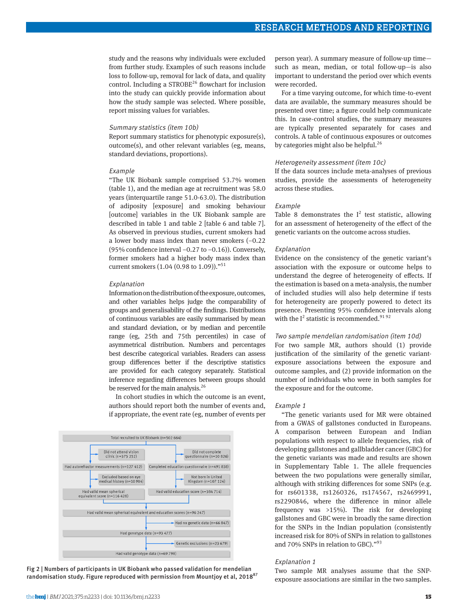study and the reasons why individuals were excluded from further study. Examples of such reasons include loss to follow-up, removal for lack of data, and quality control. Including a STROBE<sup>26</sup> flowchart for inclusion into the study can quickly provide information about how the study sample was selected. Where possible, report missing values for variables.

#### Summary statistics (item 10b)

Report summary statistics for phenotypic exposure(s), outcome(s), and other relevant variables (eg, means, standard deviations, proportions).

#### Example

"The UK Biobank sample comprised 53.7% women (table 1), and the median age at recruitment was 58.0 years (interquartile range 51.0-63.0). The distribution of adiposity [exposure] and smoking behaviour [outcome] variables in the UK Biobank sample are described in table 1 and table 2 [table 6 and table 7]. As observed in previous studies, current smokers had a lower body mass index than never smokers (−0.22 (95% confidence interval −0.27 to −0.16)). Conversely, former smokers had a higher body mass index than current smokers  $(1.04 (0.98 \text{ to } 1.09))$ ."<sup>51</sup>

#### Explanation

Information on the distribution of the exposure, outcomes, and other variables helps judge the comparability of groups and generalisability of the findings. Distributions of continuous variables are easily summarised by mean and standard deviation, or by median and percentile range (eg, 25th and 75th percentiles) in case of asymmetrical distribution. Numbers and percentages best describe categorical variables. Readers can assess group differences better if the descriptive statistics are provided for each category separately. Statistical inference regarding differences between groups should be reserved for the main analysis.<sup>26</sup>

In cohort studies in which the outcome is an event, authors should report both the number of events and, if appropriate, the event rate (eg, number of events per



Fig 2 | Numbers of participants in UK Biobank who passed validation for mendelian randomisation study. Figure reproduced with permission from Mountjoy et al, 2018<sup>87</sup>

person year). A summary measure of follow-up time such as mean, median, or total follow-up—is also important to understand the period over which events were recorded.

For a time varying outcome, for which time-to-event data are available, the summary measures should be presented over time; a figure could help communicate this. In case-control studies, the summary measures are typically presented separately for cases and controls. A table of continuous exposures or outcomes by categories might also be helpful.<sup>26</sup>

#### Heterogeneity assessment (item 10c)

If the data sources include meta-analyses of previous studies, provide the assessments of heterogeneity across these studies.

#### Example

Table 8 demonstrates the  $I^2$  test statistic, allowing for an assessment of heterogeneity of the effect of the genetic variants on the outcome across studies.

#### Explanation

Evidence on the consistency of the genetic variant's association with the exposure or outcome helps to understand the degree of heterogeneity of effects. If the estimation is based on a meta-analysis, the number of included studies will also help determine if tests for heterogeneity are properly powered to detect its presence. Presenting 95% confidence intervals along with the  $I^2$  statistic is recommended.<sup>91 92</sup>

#### Two sample mendelian randomisation (item 10d)

For two sample MR, authors should (1) provide justification of the similarity of the genetic variantexposure associations between the exposure and outcome samples, and (2) provide information on the number of individuals who were in both samples for the exposure and for the outcome.

#### Example 1

"The genetic variants used for MR were obtained from a GWAS of gallstones conducted in Europeans. A comparison between European and Indian populations with respect to allele frequencies, risk of developing gallstones and gallbladder cancer (GBC) for the genetic variants was made and results are shown in Supplementary Table 1. The allele frequencies between the two populations were generally similar, although with striking differences for some SNPs (e.g. for rs601338, rs1260326, rs174567, rs2469991, rs2290846, where the difference in minor allele frequency was >15%). The risk for developing gallstones and GBC were in broadly the same direction for the SNPs in the Indian population (consistently increased risk for 80% of SNPs in relation to gallstones and 70% SNPs in relation to GBC)."<sup>93</sup>

## Explanation 1

Two sample MR analyses assume that the SNPexposure associations are similar in the two samples.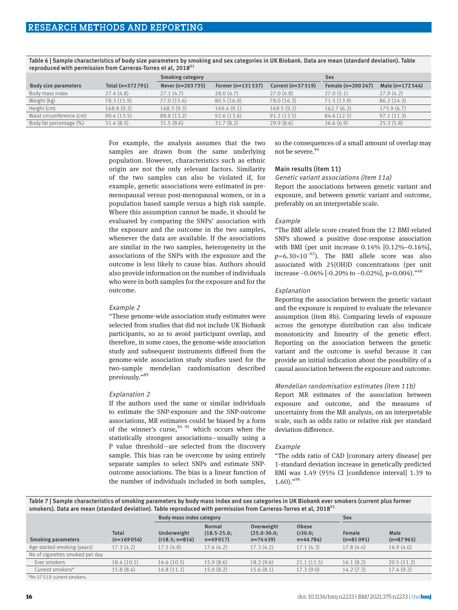|                          |                  | <b>Smoking category</b> |                     |                    | <b>Sex</b>         |                   |
|--------------------------|------------------|-------------------------|---------------------|--------------------|--------------------|-------------------|
| Body size parameters     | Total (n=372791) | Never (n=203735)        | Former $(n=131537)$ | Current (n=37 519) | Female (n=200 247) | Male $(n=172544)$ |
| Body mass index          | 27.4(4.8)        | 27.1(4.7)               | 28.0(4.7)           | 27.0(4.8)          | 27.0(5.1)          | 27.9(4.2)         |
| Weight (kg)              | 78.3 (15.9)      | 77.0(15.6)              | 80.5(16.0)          | 78.0 (16.3)        | 71.5(13.9)         | 86.2(14.3)        |
| Height (cm)              | 168.8(9.2)       | 168.3(9.3)              | 169.4(9.1)          | 169.5(9.2)         | 162.7(6.2)         | 175.9(6.7)        |
| Waist circumference (cm) | 90.4(13.5)       | 88.8 (13.2)             | 92.6(13.6)          | 91.2(13.5)         | 84.6 (12.5)        | 97.1(11.3)        |
| Body fat percentage (%)  | 31.4(8.5)        | 31.5(8.6)               | 31.7(8.2)           | 29.9(8.6)          | 36.6(6.9)          | 25.3(5.8)         |
|                          |                  |                         |                     |                    |                    |                   |

Table 6 | Sample characteristics of body size parameters by smoking and sex categories in UK Biobank. Data are mean (standard deviation). Table reproduced with permission from Carreras-Torres et al, 2018<sup>51</sup>

> For example, the analysis assumes that the two samples are drawn from the same underlying population. However, characteristics such as ethnic origin are not the only relevant factors. Similarity of the two samples can also be violated if, for example, genetic associations were estimated in premenopausal versus post-menopausal women, or in a population based sample versus a high risk sample. Where this assumption cannot be made, it should be evaluated by comparing the SNPs' association with the exposure and the outcome in the two samples, whenever the data are available. If the associations are similar in the two samples, heterogeneity in the associations of the SNPs with the exposure and the outcome is less likely to cause bias. Authors should also provide information on the number of individuals who were in both samples for the exposure and for the outcome.

#### Example 2

"These genome-wide association study estimates were selected from studies that did not include UK Biobank participants, so as to avoid participant overlap, and therefore, in some cases, the genome-wide association study and subsequent instruments differed from the genome-wide association study studies used for the two-sample mendelian randomisation described previously."89

#### Explanation 2

If the authors used the same or similar individuals to estimate the SNP-exposure and the SNP-outcome associations, MR estimates could be biased by a form of the winner's curse,  $9495$  which occurs when the statistically strongest associations—usually using a P value threshold—are selected from the discovery sample. This bias can be overcome by using entirely separate samples to select SNPs and estimate SNPoutcome associations. The bias is a linear function of the number of individuals included in both samples,

so the consequences of a small amount of overlap may not be severe.<sup>94</sup>

## Main results (item 11)

Genetic variant associations (item 11a)

Report the associations between genetic variant and exposure, and between genetic variant and outcome, preferably on an interpretable scale.

#### Example

"The BMI allele score created from the 12 BMI-related SNPs showed a positive dose-response association with BMI (per unit increase 0.14% [0.12%–0.16%], *p*=6.30×10<sup>-62</sup>). The BMI allele score was also associated with 25(OH)D concentrations (per unit increase  $-0.06\%$  [ $-0.20\%$  to  $-0.02\%$ ], p=0.004).<sup> $*40$ </sup>

#### Explanation

Reporting the association between the genetic variant and the exposure is required to evaluate the relevance assumption (item 8b). Comparing levels of exposure across the genotype distribution can also indicate monotonicity and linearity of the genetic effect. Reporting on the association between the genetic variant and the outcome is useful because it can provide an initial indication about the possibility of a causal association between the exposure and outcome.

## Mendelian randomisation estimates (item 11b)

Report MR estimates of the association between exposure and outcome, and the measures of uncertainty from the MR analysis, on an interpretable scale, such as odds ratio or relative risk per standard deviation difference.

#### Example

"The odds ratio of CAD [coronary artery disease] per 1-standard deviation increase in genetically predicted BMI was 1.49 (95% CI [confidence interval] 1.39 to  $1.60$ )."<sup>96</sup>

Table 7 | Sample characteristics of smoking parameters by body mass index and sex categories in UK Biobank ever smokers (current plus former smokers). Data are mean (standard deviation). Table reproduced with permission from Carreras-Torres et al, 2018<sup>5</sup>

|                                 |                              | Body mass index category       |                                          |                                            |                               | <b>Sex</b>            |                     |
|---------------------------------|------------------------------|--------------------------------|------------------------------------------|--------------------------------------------|-------------------------------|-----------------------|---------------------|
| <b>Smoking parameters</b>       | <b>Total</b><br>$(n=169056)$ | Underweight<br>$(18.5; n=816)$ | Normal<br>$(18.5 - 25.0)$ ;<br>$n=49017$ | Overweight<br>$(25.0 - 30.0)$<br>$n=74439$ | Obese<br>(230.0;<br>$n=44784$ | Female<br>$(n=81091)$ | Male<br>$(n=87965)$ |
| Age started smoking (years)     | 17.3(4.2)                    | 17.5(4.8)                      | 17.6(4.2)                                | 17.3(4.2)                                  | 17.1(4.3)                     | 17.8(4.4)             | 16.9(4.0)           |
| No of cigarettes smoked per day |                              |                                |                                          |                                            |                               |                       |                     |
| Ever smokers                    | 18.4(10.1)                   | 16.6(10.5)                     | 15.9(8.6)                                | 18.2(9.6)                                  | 21.1(11.5)                    | 16.1(8.2)             | 20.5(11.2)          |
| Current smokers*                | 15.8(8.4)                    | 16.8(11.1)                     | 15.0(8.2)                                | 15.6(8.1)                                  | 17.3(9.0)                     | 14.2(7.3)             | 17.4(9.2)           |
|                                 |                              |                                |                                          |                                            |                               |                       |                     |

\*N=37 519 current smokers.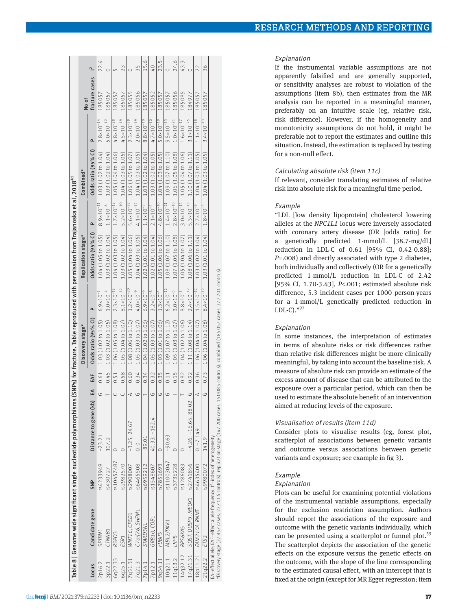|          |                                                                          |            | Table 8   Genome wide significant single nucleotide polymorphisms (SNPs) for fracture. Table reproduced with permission from Traianoska et al., 2018 <sup>41</sup> |      |                                                      |                       |                                                              |                       |                                           |                       |                |                |
|----------|--------------------------------------------------------------------------|------------|--------------------------------------------------------------------------------------------------------------------------------------------------------------------|------|------------------------------------------------------|-----------------------|--------------------------------------------------------------|-----------------------|-------------------------------------------|-----------------------|----------------|----------------|
|          |                                                                          |            |                                                                                                                                                                    |      | Discovery stage*                                     |                       | Replication stage*                                           |                       | Combined*                                 |                       | No of          |                |
| Locus    | Candidate gene                                                           | <b>SNP</b> | EA<br>Distance to gene (kb)                                                                                                                                        | EAF  | Odds ratio (95% CI)                                  | o.                    | Odds ratio (95% CI)                                          | Q,                    | Odds ratio (95% CI)                       |                       | fracture cases | $\overline{1}$ |
| 2p16.2   | SPTBN1                                                                   | rs4233949  | G<br>$-23.21$                                                                                                                                                      | 0.61 | $1.03(1.02 \text{ to } 1.05)$ 6.9×10 <sup>-2</sup>   |                       | 1.04 (1.05 to 1.05)                                          | $8.9 \times 10^{-11}$ | 1.03 (1.02 to 1.04)                       | $2.8 \times 10^{-14}$ | 185057         | 22.4           |
| 3p22.1   | CTNWB1                                                                   | rs430727   | 107.2                                                                                                                                                              | 0.45 | 1.03 (1.02 to 1.05)                                  | $1.0 \times 10^{-4}$  | $1.03(1.02 \text{ to } 1.04)$                                | $1.1 \times 10^{-8}$  | 1.03 (1.02 to 1.04)                       | $5.0 \times 10^{-12}$ | 185057         | $\circ$        |
| 6q22.33  | RSPO <sub>3</sub>                                                        | rs10457487 |                                                                                                                                                                    | 0.51 | 1.06 (1.05 to 1.08)                                  | $2.3 \times 10^{-15}$ | 1.04 (1.03 to 1.05)                                          |                       | $1.7 \times 10^{-15}$ 1.05 (1.04 to 1.06) | $4.8 \times 10^{-28}$ | 185057         | ц∩             |
| 6q25.1   | ESR1                                                                     | rs2982570  |                                                                                                                                                                    | 0.58 | 1.05 (1.04 to 1.07)                                  | $8.1 \times 10^{-12}$ | 1.03 (1.02 to 1.04)                                          |                       | 5.2×10 <sup>-10</sup> 1.04 (1.03 to 1.05) | $4.5 \times 10^{-19}$ | 185057         | 23             |
| 7q31.31  | WNT16, CPED1                                                             | rs2908007  | ⋖<br>$-3.25, 24.67$                                                                                                                                                | 0.60 | 1.08 (1.06 to 1.10)                                  | $1.2 \times 10^{-20}$ | 1.05 (1.04 to 1.06)                                          |                       | 5.6×10 <sup>-22</sup> 1.06 (1.05 to 1.07) | $2.3 \times 10^{-39}$ | 185055         | $\circ$        |
| 7q21.3   | C7orf76.SHFM1                                                            | rs6465508  | G<br>$\circ$ .                                                                                                                                                     | 0.34 | 1.05 (1.03 to 1.07)                                  | $4.0 \times 10^{-9}$  | 1.04 (1.03 to 1.05)                                          |                       | $4.1 \times 10^{-12}$ 1.04 (1.03 to 1.05) | $2.0 \times 10^{-19}$ | 185056         | 35             |
| 7p14.1   | <b>JNEGARD</b>                                                           | rs6959212  | 89.01                                                                                                                                                              | 0.34 | 1.04 (1.02 to 1.06)                                  | $6.9 \times 10^{-6}$  | 1.02 (1.01 to 1.04)                                          | $1.1 \times 10^{-5}$  | 1.03 (1.02 to 1.04)                       | $8.8 \times 10^{-10}$ | 185057         | 15.6           |
| 7p12.1   | GRB10, COBL                                                              | rs1548607  | U<br>40.33, -182.4                                                                                                                                                 | 0.32 | 1.05 (1.03 to 1.07)                                  | $3.2 \times 10^{-8}$  | 1.02 (1.01 to 1.04)                                          |                       | $2.1 \times 10^{-4}$ 1.03 (1.02 to 1.05)  | $4.7 \times 10^{-10}$ | 185052         | $\overline{0}$ |
| 9q34.11  | FUBP <sub>3</sub>                                                        | rs7851693  | G<br>$\circ$                                                                                                                                                       | 0.35 | 1.03 (1.01 to 1.06)                                  | $1.3 \times 10^{-4}$  | 1.05 (1.06 to 1.06)                                          |                       | $4.8 \times 10^{-16}$ 1.04 (1.03 to 1.05) | $5.0 \times 10^{-19}$ | 185057         | 23.5           |
| 10q21.1  | MBL2/DKK1                                                                | rs11003047 | $\circ$<br>$-90.63$                                                                                                                                                | 0.11 | 1.09 (1.07 to 1.12)                                  | $6.2 \times 10^{-12}$ | 1.08 (1.07 to 1.10)                                          |                       | $1.4 \times 10^{-21}$ 1.09 (1.07 to 1.10) | $9.5 \times 10^{-33}$ | 185057         |                |
| 11q13.2  | <b>LRP5</b>                                                              | rs3736228  |                                                                                                                                                                    | 0.15 | 1.05 (1.03 to 1.07)                                  | $3.0 \times 10^{-5}$  | 1.07 (1.05 to 1.08)                                          |                       | 2.8×10 <sup>-18</sup> 1.06 (1.05 to 1.08) | $1.0 \times 10^{-21}$ | 185056         | 24.6           |
| 14q32.12 | RPS6KA5                                                                  | rs1286083  | C                                                                                                                                                                  | 0.82 | 1.04 (1.02 to 1.06)                                  | $8.8 \times 10^{-5}$  | 1.05 (1.04 to 1.07)                                          |                       | $3.0 \times 10^{-14}$ 1.05 (1.04 to 1.06) | $1.6 \times 10^{-17}$ | 185085         | 43.3           |
| 17q21.31 | SOST. DUSP3. MEOX1                                                       | rs2741856  | $\cup$<br>$-4.26, -16.65, 88.02$                                                                                                                                   | 0.92 | 1.11 $(1.08 \text{ to } 1.14)$ 2.4×10 <sup>-12</sup> |                       | 1.08 (1.06 to 1.11)                                          |                       | 5.3×10 <sup>-15</sup> 1.10 (1.07 to 1.11) | $3.1 \times 10^{-25}$ | 184977         | $\circ$        |
|          | 18p11.21 FAM210A.RNMT                                                    | rs4635400  | ⋖<br>$0. -7.149$                                                                                                                                                   | 0.36 | 1.06 (1.04 to 1.07)                                  | $1.5 \times 10^{-12}$ | $1.03(1.02 \text{ to } 1.04)$                                |                       | $2.7 \times 10^{-9}$ 1.04 (1.03 to 1.05)  | $1.1 \times 10^{-18}$ | 185057         |                |
| 21q22.2  | ETS2                                                                     | rs9980072  | C)<br>141.9                                                                                                                                                        |      | $0.73$ 1.06 (1.04 to 1.08)                           | $8.4 \times 10^{-12}$ | 1.03 (1.01 to 1.04) $1.8 \times 10^{-5}$ 1.04 (1.03 to 1.05) |                       |                                           | $3.4 \times 10^{-13}$ | 185057         | 36             |
|          | EA=effect allele; EAF=effect allele frequency; I'=index of heterogeneity |            | たちになっているようについてのことでしょう。 ワクト イー・コクト イー・ファイ しょうしょう しょうしょう しょうしょう こうしょう こうしょう こうしょう こうしょう こうしょう こうしょう こうしょう こうしょうしょう                                                   |      |                                                      |                       |                                                              |                       |                                           |                       |                |                |

\*Discovery stage (37 857 cases; 227 116 controls); replication stage (147 200 cases; 150 085 controls); combined (185 057 cases; 377 201 controls).201  $\frac{180}{180}$  (18505/ 200 cases; 150 085 controls); stage (14/ "Discovery stage (3/85/ cases; 22/116 controls); replication RESEARCH METHODS AND REPORTING

#### Explanation

If the instrumental variable assumptions are not apparently falsified and are generally supported, or sensitivity analyses are robust to violation of the assumptions (item 8b), then estimates from the MR analysis can be reported in a meaningful manner, preferably on an intuitive scale (eg, relative risk, risk difference). However, if the homogeneity and monotonicity assumptions do not hold, it might be preferable not to report the estimates and outline this situation. Instead, the estimation is replaced by testing for a non-null effect.

#### Calculating absolute risk (item 11c)

If relevant, consider translating estimates of relative risk into absolute risk for a meaningful time period.

#### Example

"LDL [low density lipoprotein] cholesterol lowering alleles at the *NPC1L1* locus were inversely associated with coronary artery disease (OR [odds ratio] for a genetically predicted 1-mmol/L [38.7-mg/dL] reduction in LDL-C of 0.61 [95% CI, 0.42-0.88]; *P*=.008) and directly associated with type 2 diabetes, both individually and collectively (OR for a genetically predicted 1-mmol/L reduction in LDL-C of 2.42 [95% CI, 1.70-3.43], *P*<.001; estimated absolute risk difference, 5.3 incident cases per 1000 person-years for a 1-mmol/L genetically predicted reduction in LDL-C). $"^{97}$ 

## Explanation

In some instances, the interpretation of estimates in terms of absolute risks or risk differences rather than relative risk differences might be more clinically meaningful, by taking into account the baseline risk. A measure of absolute risk can provide an estimate of the excess amount of disease that can be attributed to the exposure over a particular period, which can then be used to estimate the absolute benefit of an intervention aimed at reducing levels of the exposure.

## Visualisation of results (item 11d)

Consider plots to visualise results (eg, forest plot, scatterplot of associations between genetic variants and outcome versus associations between genetic variants and exposure; see example in fig 3).

#### Example

#### Explanation

Plots can be useful for examining potential violations of the instrumental variable assumptions, especially for the exclusion restriction assumption. Authors should report the associations of the exposure and outcome with the genetic variants individually, which can be presented using a scatterplot or funnel plot.<sup>55</sup> The scatterplot depicts the association of the genetic effects on the exposure versus the genetic effects on the outcome, with the slope of the line corresponding to the estimated causal effect, with an intercept that is fixed at the origin (except for MR Egger regression; item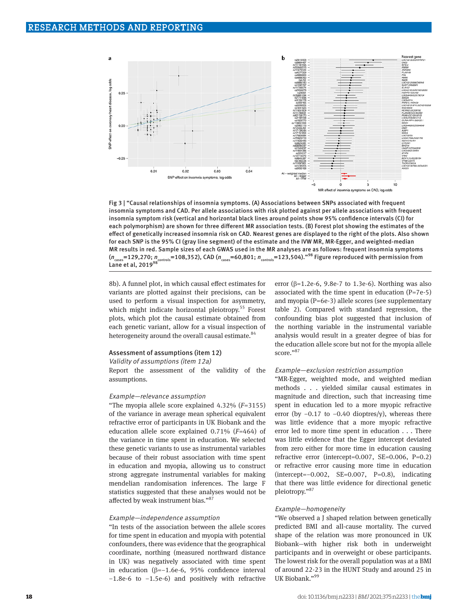

Fig 3 | "Causal relationships of insomnia symptoms. (A) Associations between SNPs associated with frequent insomnia symptoms and CAD. Per allele associations with risk plotted against per allele associations with frequent insomnia symptom risk (vertical and horizontal black lines around points show 95% confidence intervals (CI) for each polymorphism) are shown for three different MR association tests. (B) Forest plot showing the estimates of the effect of genetically increased insomnia risk on CAD. Nearest genes are displayed to the right of the plots. Also shown for each SNP is the 95% CI (gray line segment) of the estimate and the IVW MR, MR-Egger, and weighted-median MR results in red. Sample sizes of each GWAS used in the MR analyses are as follows: frequent insomnia symptoms  $(n_{\text{cases}}=129,270; n_{\text{controls}}=108,352)$ , CAD ( $n_{\text{cases}}=60,801; n_{\text{controls}}=123,504$ ).<sup>"98</sup> Figure reproduced with permission from Lane et al,  $2019<sup>98</sup>$ 

8b). A funnel plot, in which causal effect estimates for variants are plotted against their precisions, can be used to perform a visual inspection for asymmetry, which might indicate horizontal pleiotropy.<sup>55</sup> Forest plots, which plot the causal estimate obtained from each genetic variant, allow for a visual inspection of heterogeneity around the overall causal estimate.<sup>84</sup>

#### Assessment of assumptions (item 12)

Validity of assumptions (item 12a)

Report the assessment of the validity of the assumptions.

#### Example—relevance assumption

"The myopia allele score explained 4.32% (*F*=3155) of the variance in average mean spherical equivalent refractive error of participants in UK Biobank and the education allele score explained 0.71% (*F*=464) of the variance in time spent in education. We selected these genetic variants to use as instrumental variables because of their robust association with time spent in education and myopia, allowing us to construct strong aggregate instrumental variables for making mendelian randomisation inferences. The large F statistics suggested that these analyses would not be affected by weak instrument bias."87

#### Example—independence assumption

"In tests of the association between the allele scores for time spent in education and myopia with potential confounders, there was evidence that the geographical coordinate, northing (measured northward distance in UK) was negatively associated with time spent in education (β=−1.6e-6, 95% confidence interval −1.8e-6 to −1.5e-6) and positively with refractive error ( $\beta$ =1.2e-6, 9.8e-7 to 1.3e-6). Northing was also associated with the time spent in education (P=7e-5) and myopia (P=6e-3) allele scores (see supplementary table 2). Compared with standard regression, the confounding bias plot suggested that inclusion of the northing variable in the instrumental variable analysis would result in a greater degree of bias for the education allele score but not for the myopia allele score."87

#### Example—exclusion restriction assumption

"MR-Egger, weighted mode, and weighted median methods . . . yielded similar causal estimates in magnitude and direction, such that increasing time spent in education led to a more myopic refractive error (by −0.17 to −0.40 dioptres/y), whereas there was little evidence that a more myopic refractive error led to more time spent in education . . . There was little evidence that the Egger intercept deviated from zero either for more time in education causing refractive error (intercept=0.007, SE=0.006, P=0.2) or refractive error causing more time in education (intercept=−0.002, SE=0.007, P=0.8), indicating that there was little evidence for directional genetic pleiotropy."<sup>87</sup>

#### Example—homogeneity

"We observed a J shaped relation between genetically predicted BMI and all-cause mortality. The curved shape of the relation was more pronounced in UK Biobank—with higher risk both in underweight participants and in overweight or obese participants. The lowest risk for the overall population was at a BMI of around 22-23 in the HUNT Study and around 25 in UK Biobank."99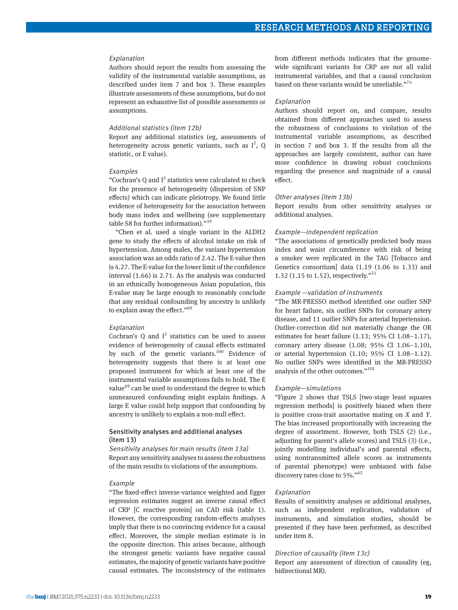## Explanation

Authors should report the results from assessing the validity of the instrumental variable assumptions, as described under item 7 and box 3. These examples illustrate assessments of these assumptions, but do not represent an exhaustive list of possible assessments or assumptions.

#### Additional statistics (item 12b)

Report any additional statistics (eg, assessments of heterogeneity across genetic variants, such as  $I^2$ , Q statistic, or E value).

## Examples

"Cochran's Q and  $I^2$  statistics were calculated to check for the presence of heterogeneity (dispersion of SNP effects) which can indicate pleiotropy. We found little evidence of heterogeneity for the association between body mass index and wellbeing (see supplementary table S8 for further information)."39

"Chen et al. used a single variant in the ALDH2 gene to study the effects of alcohol intake on risk of hypertension. Among males, the variant-hypertension association was an odds ratio of 2.42. The E-value then is 4.27. The E-value for the lower limit of the confidence interval (1.66) is 2.71. As the analysis was conducted in an ethnically homogeneous Asian population, this E-value may be large enough to reasonably conclude that any residual confounding by ancestry is unlikely to explain away the effect."<sup>69</sup>

#### Explanation

Cochran's  $Q$  and  $I^2$  statistics can be used to assess evidence of heterogeneity of causal effects estimated by each of the genetic variants. $100$  Evidence of heterogeneity suggests that there is at least one proposed instrument for which at least one of the instrumental variable assumptions fails to hold. The E value<sup>69</sup> can be used to understand the degree to which unmeasured confounding might explain findings. A large E value could help support that confounding by ancestry is unlikely to explain a non-null effect.

## Sensitivity analyses and additional analyses (item 13)

Sensitivity analyses for main results (item 13a) Report any sensitivity analyses to assess the robustness of the main results to violations of the assumptions.

#### Example

"The fixed-effect inverse-variance weighted and Egger regression estimates suggest an inverse causal effect of CRP [C reactive protein] on CAD risk (table 1). However, the corresponding random-effects analyses imply that there is no convincing evidence for a causal effect. Moreover, the simple median estimate is in the opposite direction. This arises because, although the strongest genetic variants have negative causal estimates, the majority of genetic variants have positive causal estimates. The inconsistency of the estimates

from different methods indicates that the genomewide significant variants for CRP are not all valid instrumental variables, and that a causal conclusion based on these variants would be unreliable."<sup>74</sup>

#### Explanation

Authors should report on, and compare, results obtained from different approaches used to assess the robustness of conclusions to violation of the instrumental variable assumptions, as described in section 7 and box 3. If the results from all the approaches are largely consistent, author can have more confidence in drawing robust conclusions regarding the presence and magnitude of a causal effect.

#### Other analyses (item 13b)

Report results from other sensitivity analyses or additional analyses.

#### Example—independent replication

"The associations of genetically predicted body mass index and waist circumference with risk of being a smoker were replicated in the TAG [Tobacco and Genetics consortium] data (1.19 (1.06 to 1.33) and 1.32 (1.15 to 1.52), respectively."51

#### Example —validation of instruments

"The MR-PRESSO method identified one outlier SNP for heart failure, six outlier SNPs for coronary artery disease, and 11 outlier SNPs for arterial hypertension. Outlier-correction did not materially change the OR estimates for heart failure (1.13; 95% CI 1.08–1.17), coronary artery disease (1.08; 95% CI 1.06–1.10), or arterial hypertension (1.10; 95% CI 1.08–1.12). No outlier SNPs were identified in the MR-PRESSO analysis of the other outcomes."101

#### Example—simulations

"Figure 2 shows that TSLS [two-stage least squares regression methods] is positively biased when there is positive cross-trait assortative mating on *X* and *Y*. The bias increased proportionally with increasing the degree of assortment. However, both TSLS (2) (i.e., adjusting for parent's allele scores) and TSLS (3) (i.e., jointly modelling individual's and parental effects, using nontransmitted allele scores as instruments of parental phenotype) were unbiased with false discovery rates close to 5%."62

#### Explanation

Results of sensitivity analyses or additional analyses, such as independent replication, validation of instruments, and simulation studies, should be presented if they have been performed, as described under item 8.

## Direction of causality (item 13c)

Report any assessment of direction of causality (eg, bidirectional MR).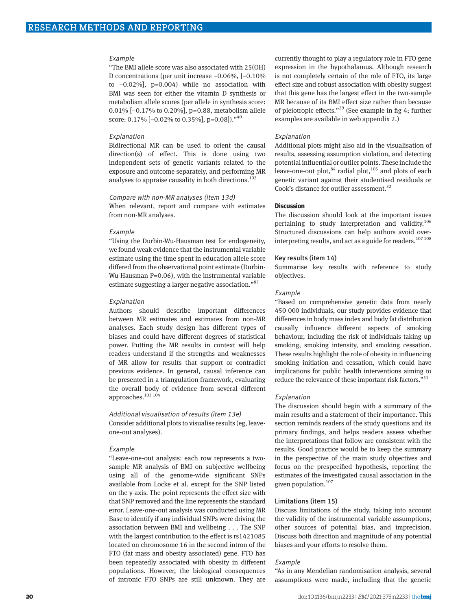#### Example

"The BMI allele score was also associated with 25(OH) D concentrations (per unit increase −0.06%, [−0.10% to −0.02%], p=0.004) while no association with BMI was seen for either the vitamin D synthesis or metabolism allele scores (per allele in synthesis score: 0.01% [−0.17% to 0.20%], p=0.88, metabolism allele score:  $0.17\%$  [-0.02\% to 0.35\%], p=0.08])."<sup>40</sup>

#### Explanation

Bidirectional MR can be used to orient the causal direction(s) of effect. This is done using two independent sets of genetic variants related to the exposure and outcome separately, and performing MR analyses to appraise causality in both directions.<sup>102</sup>

## Compare with non-MR analyses (item 13d)

When relevant, report and compare with estimates from non-MR analyses.

#### Example

"Using the Durbin-Wu-Hausman test for endogeneity, we found weak evidence that the instrumental variable estimate using the time spent in education allele score differed from the observational point estimate (Durbin-Wu-Hausman P=0.06), with the instrumental variable estimate suggesting a larger negative association."87

#### Explanation

Authors should describe important differences between MR estimates and estimates from non-MR analyses. Each study design has different types of biases and could have different degrees of statistical power. Putting the MR results in context will help readers understand if the strengths and weaknesses of MR allow for results that support or contradict previous evidence. In general, causal inference can be presented in a triangulation framework, evaluating the overall body of evidence from several different approaches.<sup>103 104</sup>

#### Additional visualisation of results (item 13e)

Consider additional plots to visualise results (eg, leaveone-out analyses).

#### Example

"Leave-one-out analysis: each row represents a twosample MR analysis of BMI on subjective wellbeing using all of the genome-wide significant SNPs available from Locke et al. except for the SNP listed on the y-axis. The point represents the effect size with that SNP removed and the line represents the standard error. Leave-one-out analysis was conducted using MR Base to identify if any individual SNPs were driving the association between BMI and wellbeing . . . The SNP with the largest contribution to the effect is rs1421085 located on chromosome 16 in the second intron of the FTO (fat mass and obesity associated) gene. FTO has been repeatedly associated with obesity in different populations. However, the biological consequences of intronic FTO SNPs are still unknown. They are

currently thought to play a regulatory role in FTO gene expression in the hypothalamus. Although research is not completely certain of the role of FTO, its large effect size and robust association with obesity suggest that this gene has the largest effect in the two-sample MR because of its BMI effect size rather than because of pleiotropic effects."39 (See example in fig 4; further examples are available in web appendix 2.)

#### Explanation

Additional plots might also aid in the visualisation of results, assessing assumption violation, and detecting potential influential or outlier points. These include the leave-one-out plot,<sup>84</sup> radial plot,<sup>105</sup> and plots of each genetic variant against their studentised residuals or Cook's distance for outlier assessment.<sup>32</sup>

## **Discussion**

The discussion should look at the important issues pertaining to study interpretation and validity.<sup>106</sup> Structured discussions can help authors avoid overinterpreting results, and act as a guide for readers.<sup>107 108</sup>

#### Key results (item 14)

Summarise key results with reference to study objectives.

#### Example

"Based on comprehensive genetic data from nearly 450 000 individuals, our study provides evidence that differences in body mass index and body fat distribution causally influence different aspects of smoking behaviour, including the risk of individuals taking up smoking, smoking intensity, and smoking cessation. These results highlight the role of obesity in influencing smoking initiation and cessation, which could have implications for public health interventions aiming to reduce the relevance of these important risk factors."<sup>51</sup>

#### Explanation

The discussion should begin with a summary of the main results and a statement of their importance. This section reminds readers of the study questions and its primary findings, and helps readers assess whether the interpretations that follow are consistent with the results. Good practice would be to keep the summary in the perspective of the main study objectives and focus on the prespecified hypothesis, reporting the estimates of the investigated causal association in the given population.107

#### Limitations (item 15)

Discuss limitations of the study, taking into account the validity of the instrumental variable assumptions, other sources of potential bias, and imprecision. Discuss both direction and magnitude of any potential biases and your efforts to resolve them.

#### Example

"As in any Mendelian randomisation analysis, several assumptions were made, including that the genetic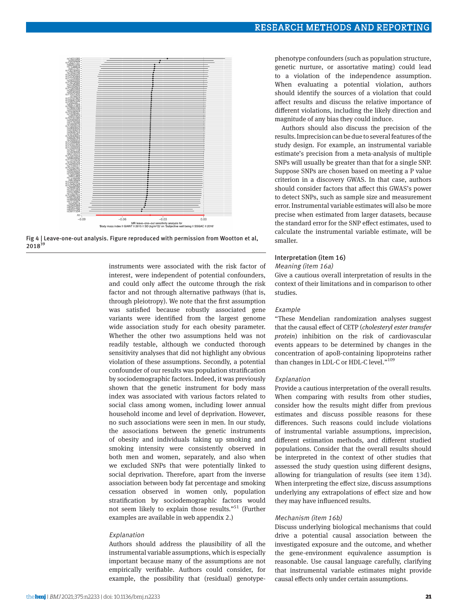

Fig 4 | Leave-one-out analysis. Figure reproduced with permission from Wootton et al, 2018<sup>39</sup>

instruments were associated with the risk factor of interest, were independent of potential confounders, and could only affect the outcome through the risk factor and not through alternative pathways (that is, through pleiotropy). We note that the first assumption was satisfied because robustly associated gene variants were identified from the largest genome wide association study for each obesity parameter. Whether the other two assumptions held was not readily testable, although we conducted thorough sensitivity analyses that did not highlight any obvious violation of these assumptions. Secondly, a potential confounder of our results was population stratification by sociodemographic factors. Indeed, it was previously shown that the genetic instrument for body mass index was associated with various factors related to social class among women, including lower annual household income and level of deprivation. However, no such associations were seen in men. In our study, the associations between the genetic instruments of obesity and individuals taking up smoking and smoking intensity were consistently observed in both men and women, separately, and also when we excluded SNPs that were potentially linked to social deprivation. Therefore, apart from the inverse association between body fat percentage and smoking cessation observed in women only, population stratification by sociodemographic factors would not seem likely to explain those results."51 (Further examples are available in web appendix 2.)

#### Explanation

Authors should address the plausibility of all the instrumental variable assumptions, which is especially important because many of the assumptions are not empirically verifiable. Authors could consider, for example, the possibility that (residual) genotypephenotype confounders (such as population structure, genetic nurture, or assortative mating) could lead to a violation of the independence assumption. When evaluating a potential violation, authors should identify the sources of a violation that could affect results and discuss the relative importance of different violations, including the likely direction and magnitude of any bias they could induce.

Authors should also discuss the precision of the results. Imprecision can be due to several features of the study design. For example, an instrumental variable estimate's precision from a meta-analysis of multiple SNPs will usually be greater than that for a single SNP. Suppose SNPs are chosen based on meeting a P value criterion in a discovery GWAS. In that case, authors should consider factors that affect this GWAS's power to detect SNPs, such as sample size and measurement error. Instrumental variable estimates will also be more precise when estimated from larger datasets, because the standard error for the SNP effect estimates, used to calculate the instrumental variable estimate, will be smaller.

#### Interpretation (item 16)

#### Meaning (item 16a)

Give a cautious overall interpretation of results in the context of their limitations and in comparison to other studies.

#### **Example**

"These Mendelian randomization analyses suggest that the causal effect of CETP (*cholesteryl ester transfer protein*) inhibition on the risk of cardiovascular events appears to be determined by changes in the concentration of apoB-containing lipoproteins rather than changes in LDL-C or HDL-C level."<sup>109</sup>

#### Explanation

Provide a cautious interpretation of the overall results. When comparing with results from other studies, consider how the results might differ from previous estimates and discuss possible reasons for these differences. Such reasons could include violations of instrumental variable assumptions, imprecision, different estimation methods, and different studied populations. Consider that the overall results should be interpreted in the context of other studies that assessed the study question using different designs, allowing for triangulation of results (see item 13d). When interpreting the effect size, discuss assumptions underlying any extrapolations of effect size and how they may have influenced results.

#### Mechanism (item 16b)

Discuss underlying biological mechanisms that could drive a potential causal association between the investigated exposure and the outcome, and whether the gene-environment equivalence assumption is reasonable. Use causal language carefully, clarifying that instrumental variable estimates might provide causal effects only under certain assumptions.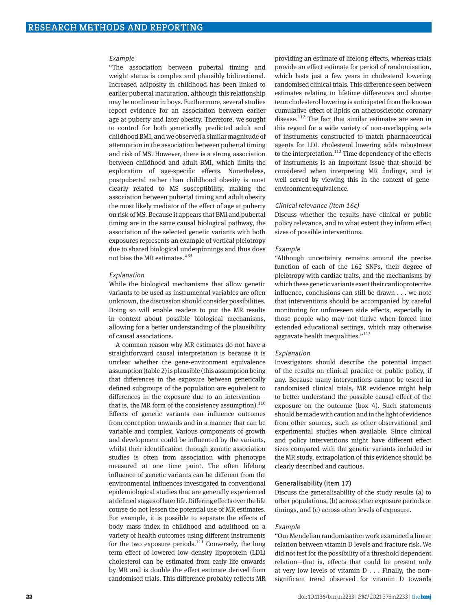#### Example

"The association between pubertal timing and weight status is complex and plausibly bidirectional. Increased adiposity in childhood has been linked to earlier pubertal maturation, although this relationship may be nonlinear in boys. Furthermore, several studies report evidence for an association between earlier age at puberty and later obesity. Therefore, we sought to control for both genetically predicted adult and childhood BMI, and we observed a similar magnitude of attenuation in the association between pubertal timing and risk of MS. However, there is a strong association between childhood and adult BMI, which limits the exploration of age-specific effects. Nonetheless, postpubertal rather than childhood obesity is most clearly related to MS susceptibility, making the association between pubertal timing and adult obesity the most likely mediator of the effect of age at puberty on risk of MS. Because it appears that BMI and pubertal timing are in the same causal biological pathway, the association of the selected genetic variants with both exposures represents an example of vertical pleiotropy due to shared biological underpinnings and thus does not bias the MR estimates."35

#### Explanation

While the biological mechanisms that allow genetic variants to be used as instrumental variables are often unknown, the discussion should consider possibilities. Doing so will enable readers to put the MR results in context about possible biological mechanisms, allowing for a better understanding of the plausibility of causal associations.

A common reason why MR estimates do not have a straightforward causal interpretation is because it is unclear whether the gene-environment equivalence assumption (table 2) is plausible (this assumption being that differences in the exposure between genetically defined subgroups of the population are equivalent to differences in the exposure due to an intervention that is, the MR form of the consistency assumption). $^{110}$ Effects of genetic variants can influence outcomes from conception onwards and in a manner that can be variable and complex. Various components of growth and development could be influenced by the variants, whilst their identification through genetic association studies is often from association with phenotype measured at one time point. The often lifelong influence of genetic variants can be different from the environmental influences investigated in conventional epidemiological studies that are generally experienced at defined stages of later life. Differing effects over the life course do not lessen the potential use of MR estimates. For example, it is possible to separate the effects of body mass index in childhood and adulthood on a variety of health outcomes using different instruments for the two exposure periods.<sup>111</sup> Conversely, the long term effect of lowered low density lipoprotein (LDL) cholesterol can be estimated from early life onwards by MR and is double the effect estimate derived from randomised trials. This difference probably reflects MR

providing an estimate of lifelong effects, whereas trials provide an effect estimate for period of randomisation, which lasts just a few years in cholesterol lowering randomised clinical trials. This difference seen between estimates relating to lifetime differences and shorter term cholesterol lowering is anticipated from the known cumulative effect of lipids on atherosclerotic coronary disease.<sup>112</sup> The fact that similar estimates are seen in this regard for a wide variety of non-overlapping sets of instruments constructed to match pharmaceutical agents for LDL cholesterol lowering adds robustness to the interpretation.<sup>112</sup> Time dependency of the effects of instruments is an important issue that should be considered when interpreting MR findings, and is well served by viewing this in the context of geneenvironment equivalence.

#### Clinical relevance (item 16c)

Discuss whether the results have clinical or public policy relevance, and to what extent they inform effect sizes of possible interventions.

#### Example

"Although uncertainty remains around the precise function of each of the 162 SNPs, their degree of pleiotropy with cardiac traits, and the mechanisms by which these genetic variants exert their cardioprotective influence, conclusions can still be drawn . . . we note that interventions should be accompanied by careful monitoring for unforeseen side effects, especially in those people who may not thrive when forced into extended educational settings, which may otherwise aggravate health inequalities."<sup>113</sup>

#### Explanation

Investigators should describe the potential impact of the results on clinical practice or public policy, if any. Because many interventions cannot be tested in randomised clinical trials, MR evidence might help to better understand the possible causal effect of the exposure on the outcome (box 4). Such statements should be made with caution and in the light of evidence from other sources, such as other observational and experimental studies when available. Since clinical and policy interventions might have different effect sizes compared with the genetic variants included in the MR study, extrapolation of this evidence should be clearly described and cautious.

#### Generalisability (item 17)

Discuss the generalisability of the study results (a) to other populations, (b) across other exposure periods or timings, and (c) across other levels of exposure.

#### Example

"Our Mendelian randomisation work examined a linear relation between vitamin D levels and fracture risk. We did not test for the possibility of a threshold dependent relation—that is, effects that could be present only at very low levels of vitamin D . . . Finally, the nonsignificant trend observed for vitamin D towards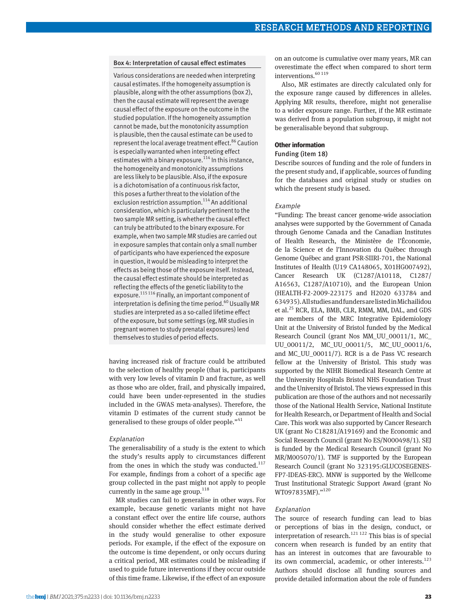## Box 4: Interpretation of causal effect estimates

Various considerations are needed when interpreting causal estimates. If the homogeneity assumption is plausible, along with the other assumptions (box 2), then the causal estimate will represent the average causal effect of the exposure on the outcome in the studied population. If the homogeneity assumption cannot be made, but the monotonicity assumption is plausible, then the causal estimate can be used to represent the local average treatment effect.<sup>86</sup> Caution is especially warranted when interpreting effect estimates with a binary exposure.<sup>114</sup> In this instance, the homogeneity and monotonicity assumptions are less likely to be plausible. Also, if the exposure is a dichotomisation of a continuous risk factor, this poses a further threat to the violation of the exclusion restriction assumption.<sup>114</sup> An additional consideration, which is particularly pertinent to the two sample MR setting, is whether the causal effect can truly be attributed to the binary exposure. For example, when two sample MR studies are carried out in exposure samples that contain only a small number of participants who have experienced the exposure in question, it would be misleading to interpret the effects as being those of the exposure itself. Instead, the causal effect estimate should be interpreted as reflecting the effects of the genetic liability to the exposure.115 116 Finally, an important component of interpretation is defining the time period.<sup>60</sup> Usually MR studies are interpreted as a so-called lifetime effect of the exposure, but some settings (eg, MR studies in pregnant women to study prenatal exposures) lend themselves to studies of period effects.

having increased risk of fracture could be attributed to the selection of healthy people (that is, participants with very low levels of vitamin D and fracture, as well as those who are older, frail, and physically impaired, could have been under-represented in the studies included in the GWAS meta-analyses). Therefore, the vitamin D estimates of the current study cannot be generalised to these groups of older people."<sup>41</sup>

## Explanation

The generalisability of a study is the extent to which the study's results apply to circumstances different from the ones in which the study was conducted. $117$ For example, findings from a cohort of a specific age group collected in the past might not apply to people currently in the same age group.<sup>118</sup>

MR studies can fail to generalise in other ways. For example, because genetic variants might not have a constant effect over the entire life course, authors should consider whether the effect estimate derived in the study would generalise to other exposure periods. For example, if the effect of the exposure on the outcome is time dependent, or only occurs during a critical period, MR estimates could be misleading if used to guide future interventions if they occur outside of this time frame. Likewise, if the effect of an exposure

on an outcome is cumulative over many years, MR can overestimate the effect when compared to short term interventions.  $\rm ^{60\,119}$ 

Also, MR estimates are directly calculated only for the exposure range caused by differences in alleles. Applying MR results, therefore, might not generalise to a wider exposure range. Further, if the MR estimate was derived from a population subgroup, it might not be generalisable beyond that subgroup.

## **Other information**

## Funding (item 18)

Describe sources of funding and the role of funders in the present study and, if applicable, sources of funding for the databases and original study or studies on which the present study is based.

#### Example

"Funding: The breast cancer genome-wide association analyses were supported by the Government of Canada through Genome Canada and the Canadian Institutes of Health Research, the Ministère de l'Économie, de la Science et de l'Innovation du Québec through Genome Québec and grant PSR-SIIRI-701, the National Institutes of Health (U19 CA148065, X01HG007492), Cancer Research UK (C1287/A10118, C1287/ A16563, C1287/A10710), and the European Union (HEALTH-F2-2009-223175 and H2020 633784 and 634935). All studies and funders are listed in Michailidou et al.<sup>25</sup> RCR, ELA, BMB, CLR, RMM, MM, DAL, and GDS are members of the MRC Integrative Epidemiology Unit at the University of Bristol funded by the Medical Research Council (grant Nos MM\_UU\_00011/1, MC\_ UU\_00011/2, MC\_UU\_00011/5, MC\_UU\_00011/6, and MC\_UU\_00011/7). RCR is a de Pass VC research fellow at the University of Bristol. This study was supported by the NIHR Biomedical Research Centre at the University Hospitals Bristol NHS Foundation Trust and the University of Bristol. The views expressed in this publication are those of the authors and not necessarily those of the National Health Service, National Institute for Health Research, or Department of Health and Social Care. This work was also supported by Cancer Research UK (grant No C18281/A19169) and the Economic and Social Research Council (grant No ES/N000498/1). SEJ is funded by the Medical Research Council (grant No MR/M005070/1). TMF is supported by the European Research Council (grant No 323195:GLUCOSEGENES-FP7-IDEAS-ERC). MNW is supported by the Wellcome Trust Institutional Strategic Support Award (grant No WT097835MF)."120

## Explanation

The source of research funding can lead to bias or perceptions of bias in the design, conduct, or interpretation of research.<sup>121 122</sup> This bias is of special concern when research is funded by an entity that has an interest in outcomes that are favourable to its own commercial, academic, or other interests. $123$ Authors should disclose all funding sources and provide detailed information about the role of funders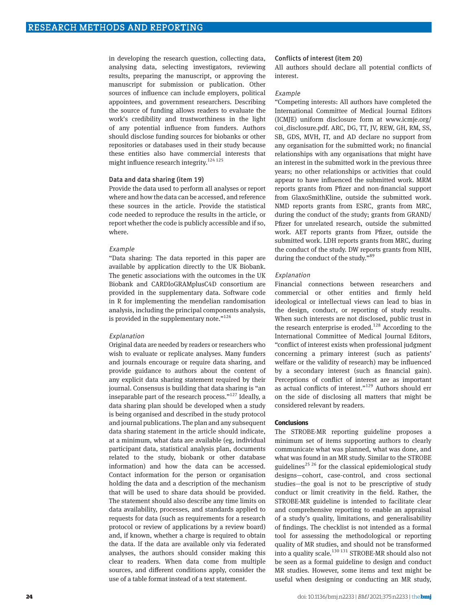in developing the research question, collecting data, analysing data, selecting investigators, reviewing results, preparing the manuscript, or approving the manuscript for submission or publication. Other sources of influence can include employers, political appointees, and government researchers. Describing the source of funding allows readers to evaluate the work's credibility and trustworthiness in the light of any potential influence from funders. Authors should disclose funding sources for biobanks or other repositories or databases used in their study because these entities also have commercial interests that might influence research integrity.<sup>124 125</sup>

## Data and data sharing (item 19)

Provide the data used to perform all analyses or report where and how the data can be accessed, and reference these sources in the article. Provide the statistical code needed to reproduce the results in the article, or report whether the code is publicly accessible and if so, where.

#### Example

"Data sharing: The data reported in this paper are available by application directly to the UK Biobank. The genetic associations with the outcomes in the UK Biobank and CARDIoGRAMplusC4D consortium are provided in the supplementary data. Software code in R for implementing the mendelian randomisation analysis, including the principal components analysis, is provided in the supplementary note."<sup>126</sup>

#### Explanation

Original data are needed by readers or researchers who wish to evaluate or replicate analyses. Many funders and journals encourage or require data sharing, and provide guidance to authors about the content of any explicit data sharing statement required by their journal. Consensus is building that data sharing is "an inseparable part of the research process."<sup>127</sup> Ideally, a data sharing plan should be developed when a study is being organised and described in the study protocol and journal publications. The plan and any subsequent data sharing statement in the article should indicate, at a minimum, what data are available (eg, individual participant data, statistical analysis plan, documents related to the study, biobank or other database information) and how the data can be accessed. Contact information for the person or organisation holding the data and a description of the mechanism that will be used to share data should be provided. The statement should also describe any time limits on data availability, processes, and standards applied to requests for data (such as requirements for a research protocol or review of applications by a review board) and, if known, whether a charge is required to obtain the data. If the data are available only via federated analyses, the authors should consider making this clear to readers. When data come from multiple sources, and different conditions apply, consider the use of a table format instead of a text statement.

#### Conflicts of interest (item 20)

All authors should declare all potential conflicts of interest.

#### Example

"Competing interests: All authors have completed the International Committee of Medical Journal Editors (ICMJE) uniform disclosure form at [www.icmje.org/](http://www.icmje.org/coi_disclosure.pdf) [coi\\_disclosure.pdf](http://www.icmje.org/coi_disclosure.pdf). ARC, DG, TT, JV, REW, GH, RM, SS, SB, GDS, MVH, IT, and AD declare no support from any organisation for the submitted work; no financial relationships with any organisations that might have an interest in the submitted work in the previous three years; no other relationships or activities that could appear to have influenced the submitted work. MRM reports grants from Pfizer and non-financial support from GlaxoSmithKline, outside the submitted work. NMD reports grants from ESRC, grants from MRC, during the conduct of the study; grants from GRAND/ Pfizer for unrelated research, outside the submitted work. AET reports grants from Pfizer, outside the submitted work. LDH reports grants from MRC, during the conduct of the study. DW reports grants from NIH, during the conduct of the study."<sup>89</sup>

#### Explanation

Financial connections between researchers and commercial or other entities and firmly held ideological or intellectual views can lead to bias in the design, conduct, or reporting of study results. When such interests are not disclosed, public trust in the research enterprise is eroded.<sup>128</sup> According to the International Committee of Medical Journal Editors, "conflict of interest exists when professional judgment concerning a primary interest (such as patients' welfare or the validity of research) may be influenced by a secondary interest (such as financial gain). Perceptions of conflict of interest are as important as actual conflicts of interest."129 Authors should err on the side of disclosing all matters that might be considered relevant by readers.

## **Conclusions**

The STROBE-MR reporting guideline proposes a minimum set of items supporting authors to clearly communicate what was planned, what was done, and what was found in an MR study. Similar to the STROBE guidelines<sup>25</sup> <sup>26</sup> for the classical epidemiological study designs—cohort, case-control, and cross sectional studies—the goal is not to be prescriptive of study conduct or limit creativity in the field. Rather, the STROBE-MR guideline is intended to facilitate clear and comprehensive reporting to enable an appraisal of a study's quality, limitations, and generalisability of findings. The checklist is not intended as a formal tool for assessing the methodological or reporting quality of MR studies, and should not be transformed into a quality scale. $130 131$  STROBE-MR should also not be seen as a formal guideline to design and conduct MR studies. However, some items and text might be useful when designing or conducting an MR study,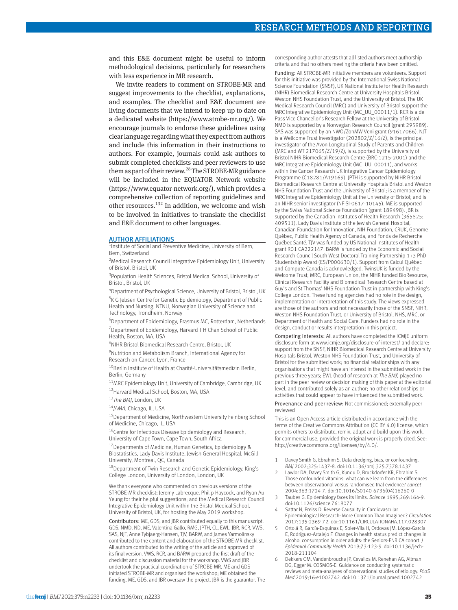and this E&E document might be useful to inform methodological decisions, particularly for researchers with less experience in MR research.

We invite readers to comment on STROBE-MR and suggest improvements to the checklist, explanations, and examples. The checklist and E&E document are living documents that we intend to keep up to date on a dedicated website [\(https://www.strobe-mr.org/](https://www.strobe-mr.org/)). We encourage journals to endorse these guidelines using clear language regarding what they expect from authors and include this information in their instructions to authors. For example, journals could ask authors to submit completed checklists and peer reviewers to use them as part of their review.<sup>28</sup> The STROBE-MR guidance will be included in the EQUATOR Network website ([https://www.equator-network.org/\)](https://www.equator-network.org/), which provides a comprehensive collection of reporting guidelines and other resources.<sup>132</sup> In addition, we welcome and wish to be involved in initiatives to translate the checklist and E&E document to other languages.

#### AUTHOR AFFILIATIONS

<sup>1</sup>Institute of Social and Preventive Medicine, University of Bern, Bern, Switzerland

<sup>2</sup> Medical Research Council Integrative Epidemiology Unit, University of Bristol, Bristol, UK

<sup>3</sup>Population Health Sciences, Bristol Medical School, University of Bristol, Bristol, UK

4 Department of Psychological Science, University of Bristol, Bristol, UK <sup>5</sup>K G Jebsen Centre for Genetic Epidemiology, Department of Public

Health and Nursing, NTNU, Norwegian University of Science and Technology, Trondheim, Norway

6 Department of Epidemiology, Erasmus MC, Rotterdam, Netherlands <sup>7</sup> Department of Epidemiology, Harvard T H Chan School of Public Health, Boston, MA, USA

8 NIHR Bristol Biomedical Research Centre, Bristol, UK

<sup>9</sup>Nutrition and Metabolism Branch, International Agency for Research on Cancer, Lyon, France

<sup>10</sup>Berlin Institute of Health at Charité-Universitätsmedizin Berlin, Berlin, Germany

 $11$ MRC Epidemiology Unit, University of Cambridge, Cambridge, UK

12Harvard Medical School, Boston, MA, USA

<sup>13</sup>*The BMJ*, London, UK

<sup>14</sup>*JAMA*, Chicago, IL, USA

<sup>15</sup> Department of Medicine, Northwestern University Feinberg School of Medicine, Chicago, IL, USA

<sup>16</sup>Centre for Infectious Disease Epidemiology and Research, University of Cape Town, Cape Town, South Africa

17Departments of Medicine, Human Genetics, Epidemiology & Biostatistics, Lady Davis Institute, Jewish General Hospital, McGill University, Montreal, QC, Canada

<sup>18</sup>Department of Twin Research and Genetic Epidemiology, King's College London, University of London, London, UK

We thank everyone who commented on previous versions of the STROBE-MR checklist; Jeremy Labrecque, Philip Haycock, and Ryan Au Yeung for their helpful suggestions; and the Medical Research Council Integrative Epidemiology Unit within the Bristol Medical School, University of Bristol, UK, for hosting the May 2019 workshop.

Contributors: ME, GDS, and JBR contributed equally to this manuscript. GDS, NMD, ND, ME, Valentina Gallo, RMG, JPTH, CL, EWL, JBR, RCR, VWS, SAS, NJT, Anne Tybjaerg-Hansen, TJV, BARW, and James Yarmolinsky contributed to the content and elaboration of the STROBE-MR checklist. All authors contributed to the writing of the article and approved of its final version. VWS, RCR, and BARW prepared the first draft of the checklist and discussion material for the workshop. VWS and JBR undertook the practical coordination of STROBE-MR. ME and GDS initiated STROBE-MR and organised the workshop; ME obtained the funding. ME, GDS, and JBR oversaw the project. JBR is the guarantor. The corresponding author attests that all listed authors meet authorship criteria and that no others meeting the criteria have been omitted.

Funding: All STROBE-MR Initiative members are volunteers. Support for this initiative was provided by the International Swiss National Science Foundation (SNSF), UK National Institute for Health Research (NIHR) Biomedical Research Centre at University Hospitals Bristol, Weston NHS Foundation Trust, and the University of Bristol. The UK Medical Research Council (MRC) and University of Bristol support the MRC Integrative Epidemiology Unit (MC\_UU\_00011/1). RCR is a de Pass Vice Chancellor's Research Fellow at the University of Bristol. NMD is supported by a Norwegian Research Council (grant 295989). SAS was supported by an NWO/ZonMW Veni grant (91617066). NJT is a Wellcome Trust Investigator (202802/Z/16/Z), is the principal investigator of the Avon Longitudinal Study of Parents and Children (MRC and WT 217065/Z/19/Z), is supported by the University of Bristol NIHR Biomedical Research Centre (BRC-1215-2001) and the MRC Integrative Epidemiology Unit (MC\_UU\_00011), and works within the Cancer Research UK Integrative Cancer Epidemiology Programme (C18281/A19169). JPTH is supported by NIHR Bristol Biomedical Research Centre at University Hospitals Bristol and Weston NHS Foundation Trust and the University of Bristol; is a member of the MRC Integrative Epidemiology Unit at the University of Bristol; and is an NIHR senior investigator (NF-SI-0617-10145). ME is supported by the Swiss National Science Foundation (grant 189498). JBR is supported by the Canadian Institutes of Health Research (365825; 409511), Lady Davis Institute of the Jewish General Hospital, Canadian Foundation for Innovation, NIH Foundation, CRUK, Genome Québec, Public Health Agency of Canada, and Fonds de Recherche Québec Santé. TJV was funded by US National Institutes of Health grant R01 CA222147. BARW is funded by the Economic and Social Research Council South West Doctoral Training Partnership 1+3 PhD Studentship Award (ES/P000630/1). Support from Calcul Québec and Compute Canada is acknowledged. TwinsUK is funded by the Welcome Trust, MRC, European Union, the NIHR funded BioResource Clinical Research Facility and Biomedical Research Centre based at Guy's and St Thomas' NHS Foundation Trust in partnership with King's College London. These funding agencies had no role in the design, implementation or interpretation of this study. The views expressed are those of the authors and not necessarily those of the SNSF, NIHR, Weston NHS Foundation Trust, or University of Bristol, NHS, MRC, or Department of Health and Social Care. Funders had no role in the design, conduct or results interpretation in this project.

Competing interests: All authors have completed the ICMJE uniform disclosure form at [www.icmje.org/disclosure-of-interest/](http://www.icmje.org/disclosure-of-interest/) and declare: support from the SNSF, NIHR Biomedical Research Centre at University Hospitals Bristol, Weston NHS Foundation Trust, and University of Bristol for the submitted work; no financial relationships with any organisations that might have an interest in the submitted work in the previous three years; EWL (head of research at *The BMJ*) played no part in the peer review or decision making of this paper at the editorial level, and contributed solely as an author; no other relationships or activities that could appear to have influenced the submitted work.

Provenance and peer review: Not commissioned; externally peer reviewed

This is an Open Access article distributed in accordance with the terms of the Creative Commons Attribution (CC BY 4.0) license, which permits others to distribute, remix, adapt and build upon this work, for commercial use, provided the original work is properly cited. See: <http://creativecommons.org/licenses/by/4.0/>.

- 1 Davey Smith G, Ebrahim S. Data dredging, bias, or confounding. *BMJ* 2002;325:1437-8. doi:10.1136/bmj.325.7378.1437
- 2 Lawlor DA, Davey Smith G, Kundu D, Bruckdorfer KR, Ebrahim S. Those confounded vitamins: what can we learn from the differences between observational versus randomised trial evidence? *Lancet*  2004;363:1724-7. doi:10.1016/S0140-6736(04)16260-0
- 3 Taubes G. Epidemiology faces its limits. *Science* 1995;269:164-9. doi:10.1126/science.7618077
- 4 Sattar N, Preiss D. Reverse Causality in Cardiovascular Epidemiological Research: More Common Than Imagined? *Circulation*  2017;135:2369-72. doi:10.1161/CIRCULATIONAHA.117.028307
- 5 Ortolá R, García-Esquinas E, Soler-Vila H, Ordovas JM, López-García E, Rodríguez-Artalejo F. Changes in health status predict changes in alcohol consumption in older adults: the Seniors-ENRICA cohort. *J Epidemiol Community Health* 2019;73:123-9. doi:10.1136/jech-2018-211104
- Dekkers OM, Vandenbroucke JP, Cevallos M, Renehan AG, Altman DG, Egger M. COSMOS-E: Guidance on conducting systematic reviews and meta-analyses of observational studies of etiology. *PLoS Med* 2019;16:e1002742. doi:10.1371/journal.pmed.1002742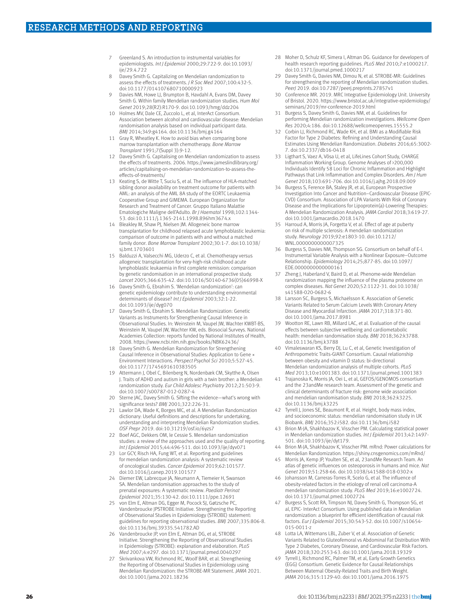- 7 Greenland S. An introduction to instrumental variables for epidemiologists. *Int J Epidemiol* 2000;29:722-9. doi:10.1093/ ije/29.4.722
- 8 Davey Smith G. Capitalizing on Mendelian randomization to assess the effects of treatments. *J R Soc Med* 2007;100:432-5. doi:10.1177/014107680710000923
- 9 Davies NM, Howe LJ, Brumpton B, Havdahl A, Evans DM, Davey Smith G. Within family Mendelian randomization studies. *Hum Mol Genet* 2019;28(R2):R170-9. doi:10.1093/hmg/ddz204
- 10 Holmes MV, Dale CE, Zuccolo L, et al, InterAct Consortium. Association between alcohol and cardiovascular disease: Mendelian randomisation analysis based on individual participant data. *BMJ* 2014;349:g4164. doi:10.1136/bmj.g4164
- Gray R, Wheatley K. How to avoid bias when comparing bone marrow transplantation with chemotherapy. *Bone Marrow Transplant* 1991;7(Suppl 3):9-12.
- 12 Davey Smith G. Capitalising on Mendelian randomization to assess the effects of treatments. 2006. [https://www.jameslindlibrary.org/](https://www.jameslindlibrary.org/articles/capitalising-on-mendelian-randomization-to-assess-the-effects-of-treatments/) [articles/capitalising-on-mendelian-randomization-to-assess-the](https://www.jameslindlibrary.org/articles/capitalising-on-mendelian-randomization-to-assess-the-effects-of-treatments/)[effects-of-treatments/](https://www.jameslindlibrary.org/articles/capitalising-on-mendelian-randomization-to-assess-the-effects-of-treatments/)
- 13 Keating S, de Witte T, Suciu S, et al. The influence of HLA-matched sibling donor availability on treatment outcome for patients with AML: an analysis of the AML 8A study of the EORTC Leukaemia Cooperative Group and GIMEMA. European Organization for Research and Treatment of Cancer. Gruppo Italiano Malattie Ematologiche Maligne dell'Adulto. *Br J Haematol* 1998;102:1344- 53. doi:10.1111/j.1365-2141.1998.896hm3674.x
- 14 Bleakley M, Shaw PJ, Nielsen JM. Allogeneic bone marrow transplantation for childhood relapsed acute lymphoblastic leukemia: comparison of outcome in patients with and without a matched family donor. *Bone Marrow Transplant* 2002;30:1-7. doi:10.1038/ sj.bmt.1703601
- Balduzzi A, Valsecchi MG, Uderzo C, et al. Chemotherapy versus allogeneic transplantation for very-high-risk childhood acute lymphoblastic leukaemia in first complete remission: comparison by genetic randomisation in an international prospective study. *Lancet* 2005;366:635-42. doi:10.1016/S0140-6736(05)66998-X
- 16 Davey Smith G, Ebrahim S. 'Mendelian randomization': can genetic epidemiology contribute to understanding environmental determinants of disease? *Int J Epidemiol* 2003;32:1-22. doi:10.1093/ije/dyg070
- 17 Davey Smith G, Ebrahim S. Mendelian Randomization: Genetic Variants as Instruments for Strengthening Causal Inference in Observational Studies. In: Weinstein M, Vaupel JW, Wachter KWBT-BS, Weinstein M, Vaupel JW, Wachter KW, eds. Biosocial Surveys. National Academies Collection: reports funded by National Institutes of Health, 2008. <https://www.ncbi.nlm.nih.gov/books/NBK62436/>
- 18 Davey Smith G. Mendelian Randomization for Strengthening Causal Inference in Observational Studies: Application to Gene × Environment Interactions. *Perspect Psychol Sci* 2010;5:527-45. doi:10.1177/1745691610383505
- 19 Attermann J, Obel C, Bilenberg N, Nordenbæk CM, Skytthe A, Olsen J. Traits of ADHD and autism in girls with a twin brother: a Mendelian randomization study. *Eur Child Adolesc Psychiatry* 2012;21:503-9. doi:10.1007/s00787-012-0287-4
- 20 Sterne JAC, Davey Smith G. Sifting the evidence—what's wrong with significance tests? *BMJ* 2001;322:226-31.
- 21 Lawlor DA, Wade K, Borges MC, et al. A Mendelian Randomization dictionary: Useful definitions and descriptions for undertaking, understanding and interpreting Mendelian Randomization studies. *OSF Prepr* 2019. doi:10.31219/osf.io/6yzs7
- 22 Boef AGC, Dekkers OM, le Cessie S. Mendelian randomization studies: a review of the approaches used and the quality of reporting. *Int J Epidemiol* 2015;44:496-511. doi:10.1093/ije/dyv071
- 23 Lor GCY, Risch HA, Fung WT, et al. Reporting and guidelines for mendelian randomization analysis: A systematic review of oncological studies. *Cancer Epidemiol* 2019;62:101577. doi:10.1016/j.canep.2019.101577
- 24 Diemer EW, Labrecque JA, Neumann A, Tiemeier H, Swanson SA. Mendelian randomisation approaches to the study of prenatal exposures: A systematic review. *Paediatr Perinat Epidemiol* 2021;35:130-42. doi:10.1111/ppe.12691
- 25 von Elm E, Altman DG, Egger M, Pocock SJ, Gøtzsche PC, Vandenbroucke JPSTROBE Initiative. Strengthening the Reporting of Observational Studies in Epidemiology (STROBE) statement: guidelines for reporting observational studies. *BMJ* 2007;335:806-8. doi:10.1136/bmj.39335.541782.AD
- 26 Vandenbroucke JP, von Elm E, Altman DG, et al, STROBE Initiative. Strengthening the Reporting of Observational Studies in Epidemiology (STROBE): explanation and elaboration. *PLoS Med* 2007;4:e297. doi:10.1371/journal.pmed.0040297
- Skrivankova VW, Richmond RC, Woolf BAR, et al. Strengthening the Reporting of Observational Studies in Epidemiology using Mendelian Randomization: the STROBE-MR Statement. *JAMA* 2021. doi:10.1001/jama.2021.18236
- 28 Moher D, Schulz KF, Simera I, Altman DG. Guidance for developers of health research reporting guidelines. *PLoS Med* 2010;7:e1000217. doi:10.1371/journal.pmed.1000217
- 29 Davey Smith G, Davies NM, Dimou N, et al. STROBE-MR: Guidelines for strengthening the reporting of Mendelian randomization studies. *PeerJ* 2019. doi:10.7287/peerj.preprints.27857v1
- 30 Conference MR. 2019. MRC Integrative Epidemiology Unit. University of Bristol. 2020. [https://www.bristol.ac.uk/integrative-epidemiology/](https://www.bristol.ac.uk/integrative-epidemiology/seminars/2019/mr-conference-2019.html) [seminars/2019/mr-conference-2019.html](https://www.bristol.ac.uk/integrative-epidemiology/seminars/2019/mr-conference-2019.html)
- 31 Burgess S, Davey Smith G, Davies NM, et al. Guidelines for performing Mendelian randomization investigations. *Wellcome Open Res* 2020;4:186. doi:10.12688/wellcomeopenres.15555.2
- 32 Corbin LJ, Richmond RC, Wade KH, et al. BMI as a Modifiable Risk Factor for Type 2 Diabetes: Refining and Understanding Causal Estimates Using Mendelian Randomization. *Diabetes* 2016;65:3002- 7. doi:10.2337/db16-0418
- 33 Ligthart S, Vaez A, Võsa U, et al, LifeLines Cohort Study, CHARGE Inflammation Working Group. Genome Analyses of >200,000 Individuals Identify 58 Loci for Chronic Inflammation and Highlight Pathways that Link Inflammation and Complex Disorders. *Am J Hum Genet* 2018;103:691-706. doi:10.1016/j.ajhg.2018.09.009
- 34 Burgess S, Ference BA, Staley JR, et al, European Prospective Investigation Into Cancer and Nutrition–Cardiovascular Disease (EPIC-CVD) Consortium. Association of LPA Variants With Risk of Coronary Disease and the Implications for Lipoprotein(a)-Lowering Therapies: A Mendelian Randomization Analysis. *JAMA Cardiol* 2018;3:619-27. doi:10.1001/jamacardio.2018.1470
- 35 Harroud A, Morris JA, Forgetta V, et al. Effect of age at puberty on risk of multiple sclerosis: A mendelian randomization study. *Neurology* 2019;92:e1803-10. doi:10.1212/ WNL.0000000000007325
- 36 Burgess S, Davies NM, Thompson SG. Consortium on behalf of E-I. Instrumental Variable Analysis with a Nonlinear Exposure–Outcome Relationship. *Epidemiology* 2014;25;877-85. doi:10.1097/ EDE.0000000000000161
- 37 Zheng J, Haberland V, Baird D, et al. Phenome-wide Mendelian randomization mapping the influence of the plasma proteome on complex diseases. *Nat Genet* 2020;52:1122-31. doi:10.1038/ s41588-020-0682-6
- Larsson SC, Burgess S, Michaëlsson K. Association of Genetic Variants Related to Serum Calcium Levels With Coronary Artery Disease and Myocardial Infarction. *JAMA* 2017;318:371-80. doi:10.1001/jama.2017.8981
- 39 Wootton RE, Lawn RB, Millard LAC, et al. Evaluation of the causal effects between subjective wellbeing and cardiometabolic health: mendelian randomisation study. *BMJ* 2018;362:k3788. doi:10.1136/bmj.k3788
- 40 Vimaleswaran KS, Berry DJ, Lu C, et al, Genetic Investigation of Anthropometric Traits-GIANT Consortium. Causal relationship between obesity and vitamin D status: bi-directional Mendelian randomization analysis of multiple cohorts. *PLoS Med* 2013;10:e1001383. doi:10.1371/journal.pmed.1001383
- 41 Trajanoska K, Morris JA, Oei L, et al, GEFOS/GENOMOS consortium and the 23andMe research team. Assessment of the genetic and clinical determinants of fracture risk: genome wide association and mendelian randomisation study. *BMJ* 2018;362:k3225. doi:10.1136/bmj.k3225
- Tyrrell J, Jones SE, Beaumont R, et al. Height, body mass index, and socioeconomic status: mendelian randomisation study in UK Biobank. *BMJ* 2016;352:i582. doi:10.1136/bmj.i582
- 43 Brion M-JA, Shakhbazov K, Visscher PM. Calculating statistical power in Mendelian randomization studies. *Int J Epidemiol* 2013;42:1497- 501. doi:10.1093/ije/dyt179.
- 44 Brion M-JA, Shakhbazov K, Visscher PM. mRnd: Power calculations for Mendelian Randomization.<https://shiny.cnsgenomics.com/mRnd/>
- 45 Morris JA, Kemp JP, Youlten SE, et al, 23andMe Research Team. An atlas of genetic influences on osteoporosis in humans and mice. *Nat Genet* 2019;51:258-66. doi:10.1038/s41588-018-0302-x
- 46 Johansson M, Carreras-Torres R, Scelo G, et al. The influence of obesity-related factors in the etiology of renal cell carcinoma-A mendelian randomization study. *PLoS Med* 2019;16:e1002724. doi:10.1371/journal.pmed.1002724
- 47 Burgess S, Scott RA, Timpson NJ, Davey Smith G, Thompson SG, et al, EPIC- InterAct Consortium. Using published data in Mendelian randomization: a blueprint for efficient identification of causal risk factors. *Eur J Epidemiol* 2015;30:543-52. doi:10.1007/s10654- 015-0011-z
- 48 Lotta LA, Wittemans LBL, Zuber V, et al. Association of Genetic Variants Related to Gluteofemoral vs Abdominal Fat Distribution With Type 2 Diabetes, Coronary Disease, and Cardiovascular Risk Factors. *JAMA* 2018;320:2553-63. doi:10.1001/jama.2018.19329
- Tyrrell J, Richmond RC, Palmer TM, et al, Early Growth Genetics (EGG) Consortium. Genetic Evidence for Causal Relationships Between Maternal Obesity-Related Traits and Birth Weight. *JAMA* 2016;315:1129-40. doi:10.1001/jama.2016.1975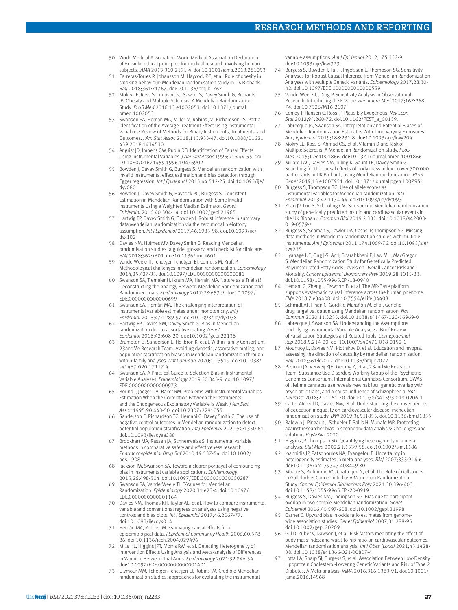## RESEARCH METHODS AND REPORTING

- 50 World Medical Association. World Medical Association Declaration of Helsinki: ethical principles for medical research involving human subjects. *JAMA* 2013;310:2191-4. doi:10.1001/jama.2013.281053
- 51 Carreras-Torres R, Johansson M, Haycock PC, et al. Role of obesity in smoking behaviour: Mendelian randomisation study in UK Biobank. *BMJ* 2018;361:k1767. doi:10.1136/bmj.k1767
- 52 Mokry LE, Ross S, Timpson NJ, Sawcer S, Davey Smith G, Richards JB. Obesity and Multiple Sclerosis: A Mendelian Randomization Study. *PLoS Med* 2016;13:e1002053. doi:10.1371/journal. pmed.1002053
- Swanson SA, Hernán MA, Miller M, Robins JM, Richardson TS. Partial Identification of the Average Treatment Effect Using Instrumental Variables: Review of Methods for Binary Instruments, Treatments, and Outcomes. *J Am Stat Assoc* 2018;113:933-47. doi:10.1080/01621 459.2018.1434530
- 54 Angrist JD, Imbens GW, Rubin DB. Identification of Causal Effects Using Instrumental Variables. *J Am Stat Assoc* 1996;91:444-55. doi: 10.1080/01621459.1996.10476902
- 55 Bowden J, Davey Smith G, Burgess S. Mendelian randomization with invalid instruments: effect estimation and bias detection through Egger regression. *Int J Epidemiol* 2015;44:512-25. doi:10.1093/ije/ dyv080
- 56 Bowden J, Davey Smith G, Haycock PC, Burgess S. Consistent Estimation in Mendelian Randomization with Some Invalid Instruments Using a Weighted Median Estimator. *Genet Epidemiol* 2016;40:304-14. doi:10.1002/gepi.21965
- 57 Hartwig FP, Davey Smith G, Bowden J. Robust inference in summary data Mendelian randomization via the zero modal pleiotropy assumption. *Int J Epidemiol* 2017;46:1985-98. doi:10.1093/ije/ dyx102
- 58 Davies NM, Holmes MV, Davey Smith G. Reading Mendelian randomisation studies: a guide, glossary, and checklist for clinicians. *BMJ* 2018;362:k601. doi:10.1136/bmj.k601
- VanderWeele TJ, Tchetgen Tchetgen EJ, Cornelis M, Kraft P. Methodological challenges in mendelian randomization. *Epidemiology*  2014;25:427-35. doi:10.1097/EDE.0000000000000081
- Swanson SA, Tiemeier H, Ikram MA, Hernán MA. Nature as a Trialist?: Deconstructing the Analogy Between Mendelian Randomization and Randomized Trials. *Epidemiology* 2017;28:653-9. doi:10.1097/ EDE.0000000000000699
- 61 Swanson SA, Hernán MA. The challenging interpretation of instrumental variable estimates under monotonicity. *Int J Epidemiol* 2018;47:1289-97. doi:10.1093/ije/dyx038
- 62 Hartwig FP, Davies NM, Davey Smith G. Bias in Mendelian randomization due to assortative mating. *Genet Epidemiol* 2018;42:608-20. doi:10.1002/gepi.22138
- 63 Brumpton B, Sanderson E, Heilbron K, et al, Within-family Consortium, 23andMe Research Team. Avoiding dynastic, assortative mating, and population stratification biases in Mendelian randomization through within-family analyses. *Nat Commun* 2020;11:3519. doi:10.1038/ s41467-020-17117-4
- 64 Swanson SA. A Practical Guide to Selection Bias in Instrumental Variable Analyses. *Epidemiology* 2019;30:345-9. doi:10.1097/ EDE.0000000000000973
- 65 Bound J, Jaeger DA, Baker RM. Problems with Instrumental Variables Estimation When the Correlation Between the Instruments and the Endogeneous Explanatory Variable is Weak. *J Am Stat Assoc* 1995;90:443-50. doi:10.2307/2291055
- 66 Sanderson E, Richardson TG, Hemani G, Davey Smith G. The use of negative control outcomes in Mendelian randomization to detect potential population stratification. *Int J Epidemiol* 2021;50:1350-61. doi:10.1093/ije/dyaa288
- Brookhart MA, Rassen JA, Schneeweiss S. Instrumental variable methods in comparative safety and effectiveness research. *Pharmacoepidemiol Drug Saf* 2010;19:537-54. doi:10.1002/ pds.1908
- 68 Jackson JW, Swanson SA. Toward a clearer portrayal of confounding bias in instrumental variable applications. *Epidemiology*  2015;26:498-504. doi:10.1097/EDE.0000000000000287
- 69 Swanson SA, VanderWeele TJ. E-Values for Mendelian Randomization. *Epidemiology* 2020;31:e23-4. doi:10.1097/ EDE.0000000000001164
- 70 Davies NM, Thomas KH, Taylor AE, et al. How to compare instrumental variable and conventional regression analyses using negative controls and bias plots. *Int J Epidemiol* 2017;46:2067-77. doi:10.1093/ije/dyx014
- 71 Hernán MA, Robins JM. Estimating causal effects from epidemiological data. *J Epidemiol Community Health* 2006;60:578- 86. doi:10.1136/jech.2004.029496
- Mills HL, Higgins JPT, Morris RW, et al. Detecting Heterogeneity of Intervention Effects Using Analysis and Meta-analysis of Differences in Variance Between Trial Arms. *Epidemiology* 2021;32:846-54. doi:10.1097/EDE.0000000000001401
- 73 Glymour MM, Tchetgen Tchetgen EJ, Robins JM. Credible Mendelian randomization studies: approaches for evaluating the instrumental

variable assumptions. *Am J Epidemiol* 2012;175:332-9. doi:10.1093/aje/kwr323

- 74 Burgess S, Bowden J, Fall T, Ingelsson E, Thompson SG. Sensitivity Analyses for Robust Causal Inference from Mendelian Randomization Analyses with Multiple Genetic Variants. *Epidemiology* 2017;28:30- 42. doi:10.1097/EDE.0000000000000559
- VanderWeele TJ, Ding P. Sensitivity Analysis in Observational Research: Introducing the E-Value. *Ann Intern Med* 2017;167:268- 74. doi:10.7326/M16-2607
- 76 Conley T, Hansen C, Rossi P. Plausibly Exogenous. *Rev Econ Stat* 2012;94:260-72. doi:10.1162/REST\_a\_00139.
- 77 Labrecque JA, Swanson SA. Interpretation and Potential Biases of Mendelian Randomization Estimates With Time-Varying Exposures. *Am J Epidemiol* 2019;188:231-8. doi:10.1093/aje/kwy204
- 78 Mokry LE, Ross S, Ahmad OS, et al. Vitamin D and Risk of Multiple Sclerosis: A Mendelian Randomization Study. *PLoS Med* 2015;12:e1001866. doi:10.1371/journal.pmed.1001866
- 79 Millard LAC, Davies NM, Tilling K, Gaunt TR, Davey Smith G. Searching for the causal effects of body mass index in over 300 000 participants in UK Biobank, using Mendelian randomization. *PLoS Genet* 2019;15:e1007951. doi:10.1371/journal.pgen.1007951
- 80 Burgess S, Thompson SG. Use of allele scores as instrumental variables for Mendelian randomization. *Int J Epidemiol* 2013;42:1134-44. doi:10.1093/ije/dyt093
- 81 Zhao JV, Luo S, Schooling CM. Sex-specific Mendelian randomization study of genetically predicted insulin and cardiovascular events in the UK Biobank. *Commun Biol* 2019;2:332. doi:10.1038/s42003- 019-0579-z
- 82 Burgess S, Seaman S, Lawlor DA, Casas JP, Thompson SG. Missing data methods in Mendelian randomization studies with multiple instruments. *Am J Epidemiol* 2011;174:1069-76. doi:10.1093/aje/ kwr235
- 83 Liyanage UE, Ong J-S, An J, Gharahkhani P, Law MH, MacGregor S. Mendelian Randomization Study for Genetically Predicted Polyunsaturated Fatty Acids Levels on Overall Cancer Risk and Mortality. *Cancer Epidemiol Biomarkers Prev* 2019;28:1015-23. doi:10.1158/1055-9965.EPI-18-0940
- 84 Hemani G, Zheng J, Elsworth B, et al. The MR-Base platform supports systematic causal inference across the human phenome. *Elife* 2018;7:e34408. doi:10.7554/eLife.34408
- Schmidt AF, Finan C, Gordillo-Marañón M, et al. Genetic drug target validation using Mendelian randomisation. *Nat Commun* 2020;11:3255. doi:10.1038/s41467-020-16969-0
- 86 Labrecque J, Swanson SA. Understanding the Assumptions Underlying Instrumental Variable Analyses: a Brief Review of Falsification Strategies and Related Tools. *Curr Epidemiol Rep* 2018;5:214-20. doi:10.1007/s40471-018-0152-1
- 87 Mountjoy E, Davies NM, Plotnikov D, et al. Education and myopia: assessing the direction of causality by mendelian randomisation. *BMJ* 2018;361:k2022. doi:10.1136/bmj.k2022
- 88 Pasman JA, Verweij KJH, Gerring Z, et al, 23andMe Research Team, Substance Use Disorders Working Group of the Psychiatric Genomics Consortium, International Cannabis Consortium. GWAS of lifetime cannabis use reveals new risk loci, genetic overlap with psychiatric traits, and a causal influence of schizophrenia. *Nat Neurosci* 2018;21:1161-70. doi:10.1038/s41593-018-0206-1
- 89 Carter AR, Gill D, Davies NM, et al. Understanding the consequences of education inequality on cardiovascular disease: mendelian randomisation study. *BMJ* 2019;365:l1855. doi:10.1136/bmj.l1855
- 90 Baldwin J, Pingault J, Schoeler T, Sallis H, Munafo MR. Protecting against researcher bias in secondary data analysis: Challenges and solutions.*PsyArXiv* . 2020
- 91 Higgins JP, Thompson SG. Quantifying heterogeneity in a metaanalysis. *Stat Med* 2002;21:1539-58. doi:10.1002/sim.1186
- Ioannidis JP, Patsopoulos NA, Evangelou E. Uncertainty in heterogeneity estimates in meta-analyses. *BMJ* 2007;335:914-6. doi:10.1136/bmj.39343.408449.80
- 93 Mhatre S, Richmond RC, Chatterjee N, et al. The Role of Gallstones in Gallbladder Cancer in India: A Mendelian Randomization Study. *Cancer Epidemiol Biomarkers Prev* 2021;30:396-403. doi:10.1158/1055-9965.EPI-20-0919
- 94 Burgess S, Davies NM, Thompson SG. Bias due to participant overlap in two-sample Mendelian randomization. *Genet Epidemiol* 2016;40:597-608. doi:10.1002/gepi.21998
- 95 Garner C. Upward bias in odds ratio estimates from genomewide association studies. *Genet Epidemiol* 2007;31:288-95. doi:10.1002/gepi.20209
- 96 Gill D, Zuber V, Dawson J, et al. Risk factors mediating the effect of body mass index and waist-to-hip ratio on cardiovascular outcomes: Mendelian randomization analysis. *Int J Obes (Lond)* 2021;45:1428- 38. doi:10.1038/s41366-021-00807-4
- Lotta LA, Sharp SJ, Burgess S, et al. Association Between Low-Density Lipoprotein Cholesterol-Lowering Genetic Variants and Risk of Type 2 Diabetes: A Meta-analysis. *JAMA* 2016;316:1383-91. doi:10.1001/ jama.2016.14568